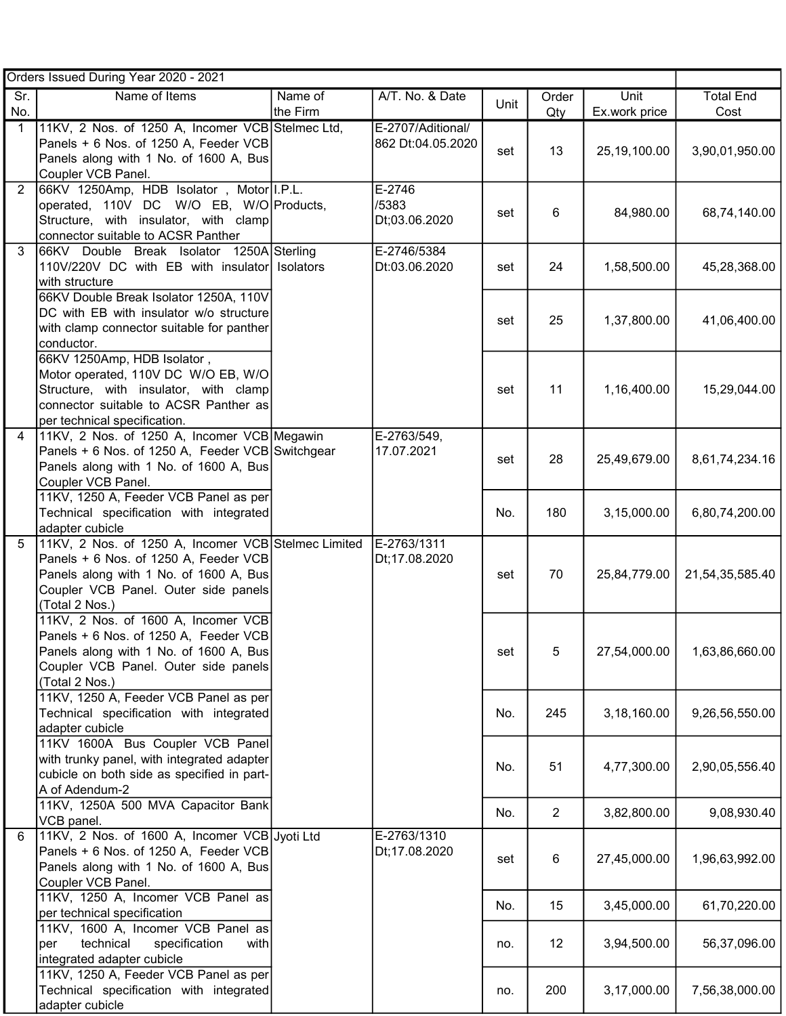| Orders Issued During Year 2020 - 2021 |                                                                                              |           |                   |      |                |               |                  |  |
|---------------------------------------|----------------------------------------------------------------------------------------------|-----------|-------------------|------|----------------|---------------|------------------|--|
| Sr.                                   | Name of Items                                                                                | Name of   | A/T. No. & Date   | Unit | Order          | Unit          | <b>Total End</b> |  |
| No.                                   |                                                                                              | the Firm  |                   |      | Qty            | Ex.work price | Cost             |  |
| 1                                     | 11KV, 2 Nos. of 1250 A, Incomer VCB Stelmec Ltd,                                             |           | E-2707/Aditional/ |      |                |               |                  |  |
|                                       | Panels + 6 Nos. of 1250 A, Feeder VCB<br>Panels along with 1 No. of 1600 A, Bus              |           | 862 Dt:04.05.2020 | set  | 13             | 25,19,100.00  | 3,90,01,950.00   |  |
|                                       | Coupler VCB Panel.                                                                           |           |                   |      |                |               |                  |  |
| 2                                     | 66KV 1250Amp, HDB Isolator, Motor I.P.L.                                                     |           | E-2746            |      |                |               |                  |  |
|                                       | operated, 110V DC W/O EB, W/O Products,                                                      |           | /5383             | set  | 6              | 84,980.00     | 68,74,140.00     |  |
|                                       | Structure, with insulator, with clamp                                                        |           | Dt;03.06.2020     |      |                |               |                  |  |
|                                       | connector suitable to ACSR Panther                                                           |           |                   |      |                |               |                  |  |
| 3                                     | 66KV Double Break Isolator 1250A Sterling                                                    |           | E-2746/5384       |      |                |               |                  |  |
|                                       | 110V/220V DC with EB with insulator<br>with structure                                        | Isolators | Dt:03.06.2020     | set  | 24             | 1,58,500.00   | 45,28,368.00     |  |
|                                       | 66KV Double Break Isolator 1250A, 110V                                                       |           |                   |      |                |               |                  |  |
|                                       | DC with EB with insulator w/o structure                                                      |           |                   |      |                |               |                  |  |
|                                       | with clamp connector suitable for panther                                                    |           |                   | set  | 25             | 1,37,800.00   | 41,06,400.00     |  |
|                                       | conductor.                                                                                   |           |                   |      |                |               |                  |  |
|                                       | 66KV 1250Amp, HDB Isolator,                                                                  |           |                   |      |                |               |                  |  |
|                                       | Motor operated, 110V DC W/O EB, W/O                                                          |           |                   |      |                |               |                  |  |
|                                       | Structure, with insulator, with clamp                                                        |           |                   | set  | 11             | 1,16,400.00   | 15,29,044.00     |  |
|                                       | connector suitable to ACSR Panther as                                                        |           |                   |      |                |               |                  |  |
| 4                                     | per technical specification.<br>11KV, 2 Nos. of 1250 A, Incomer VCB Megawin                  |           | E-2763/549,       |      |                |               |                  |  |
|                                       | Panels + 6 Nos. of 1250 A, Feeder VCB Switchgear                                             |           | 17.07.2021        |      |                |               |                  |  |
|                                       | Panels along with 1 No. of 1600 A, Bus                                                       |           |                   | set  | 28             | 25,49,679.00  | 8,61,74,234.16   |  |
|                                       | Coupler VCB Panel.                                                                           |           |                   |      |                |               |                  |  |
|                                       | 11KV, 1250 A, Feeder VCB Panel as per                                                        |           |                   |      |                |               |                  |  |
|                                       | Technical specification with integrated                                                      |           |                   | No.  | 180            | 3,15,000.00   | 6,80,74,200.00   |  |
|                                       | adapter cubicle                                                                              |           |                   |      |                |               |                  |  |
| 5                                     | 11KV, 2 Nos. of 1250 A, Incomer VCB Stelmec Limited<br>Panels + 6 Nos. of 1250 A, Feeder VCB |           | E-2763/1311       |      |                |               |                  |  |
|                                       | Panels along with 1 No. of 1600 A, Bus                                                       |           | Dt;17.08.2020     | set  | 70             | 25,84,779.00  | 21,54,35,585.40  |  |
|                                       | Coupler VCB Panel. Outer side panels                                                         |           |                   |      |                |               |                  |  |
|                                       | (Total 2 Nos.)                                                                               |           |                   |      |                |               |                  |  |
|                                       | 11KV, 2 Nos. of 1600 A, Incomer VCB                                                          |           |                   |      |                |               |                  |  |
|                                       | Panels + 6 Nos. of 1250 A, Feeder VCB                                                        |           |                   |      |                |               |                  |  |
|                                       | Panels along with 1 No. of 1600 A, Bus                                                       |           |                   | set  | 5              | 27,54,000.00  | 1,63,86,660.00   |  |
|                                       | Coupler VCB Panel. Outer side panels                                                         |           |                   |      |                |               |                  |  |
|                                       | (Total 2 Nos.)<br>11KV, 1250 A, Feeder VCB Panel as per                                      |           |                   |      |                |               |                  |  |
|                                       | Technical specification with integrated                                                      |           |                   | No.  | 245            | 3,18,160.00   | 9,26,56,550.00   |  |
|                                       | adapter cubicle                                                                              |           |                   |      |                |               |                  |  |
|                                       | 11KV 1600A Bus Coupler VCB Panel                                                             |           |                   |      |                |               |                  |  |
|                                       | with trunky panel, with integrated adapter                                                   |           |                   | No.  | 51             | 4,77,300.00   | 2,90,05,556.40   |  |
|                                       | cubicle on both side as specified in part-                                                   |           |                   |      |                |               |                  |  |
|                                       | A of Adendum-2                                                                               |           |                   |      |                |               |                  |  |
|                                       | 11KV, 1250A 500 MVA Capacitor Bank                                                           |           |                   | No.  | $\overline{c}$ | 3,82,800.00   | 9,08,930.40      |  |
| 6                                     | VCB panel.<br>11KV, 2 Nos. of 1600 A, Incomer VCB Jyoti Ltd                                  |           | E-2763/1310       |      |                |               |                  |  |
|                                       | Panels + 6 Nos. of 1250 A, Feeder VCB                                                        |           | Dt;17.08.2020     |      |                |               |                  |  |
|                                       | Panels along with 1 No. of 1600 A, Bus                                                       |           |                   | set  | 6              | 27,45,000.00  | 1,96,63,992.00   |  |
|                                       | Coupler VCB Panel.                                                                           |           |                   |      |                |               |                  |  |
|                                       | 11KV, 1250 A, Incomer VCB Panel as                                                           |           |                   |      | 15             | 3,45,000.00   | 61,70,220.00     |  |
|                                       | per technical specification                                                                  |           |                   | No.  |                |               |                  |  |
|                                       | 11KV, 1600 A, Incomer VCB Panel as                                                           |           |                   |      |                |               |                  |  |
|                                       | technical<br>specification<br>with<br>per                                                    |           |                   | no.  | 12             | 3,94,500.00   | 56,37,096.00     |  |
|                                       | integrated adapter cubicle<br>11KV, 1250 A, Feeder VCB Panel as per                          |           |                   |      |                |               |                  |  |
|                                       | Technical specification with integrated                                                      |           |                   | no.  | 200            | 3,17,000.00   | 7,56,38,000.00   |  |
|                                       | adapter cubicle                                                                              |           |                   |      |                |               |                  |  |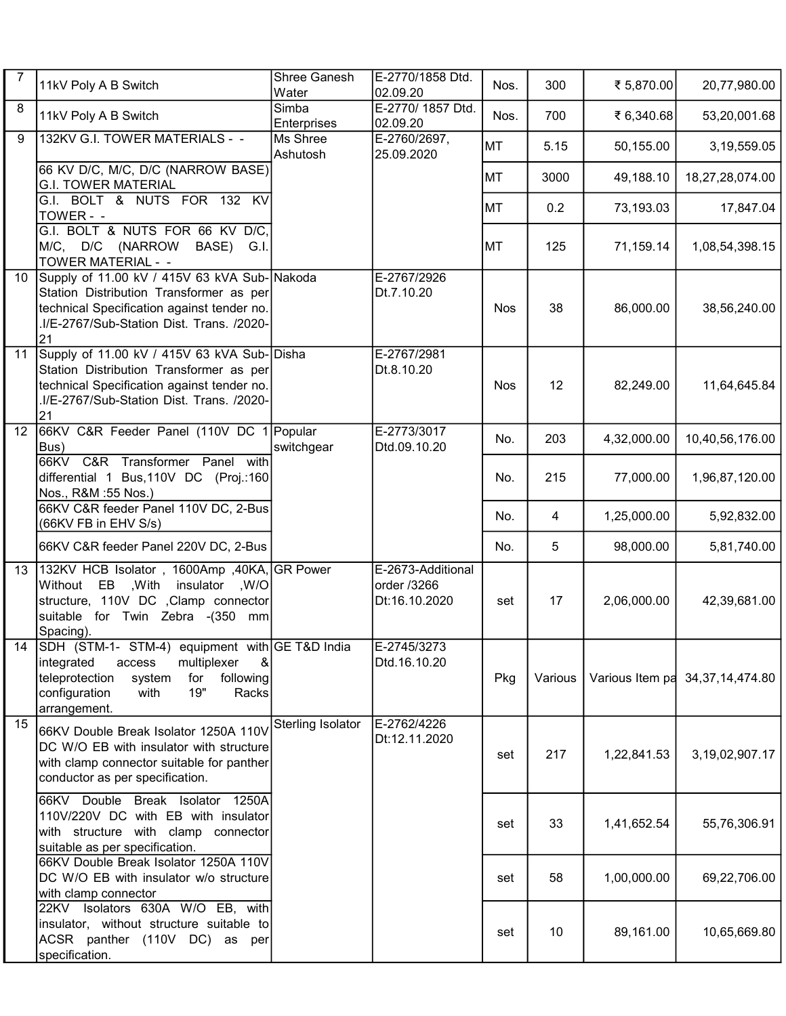| $\overline{7}$ | 11kV Poly A B Switch                                                                                                                                                                                             | Shree Ganesh<br>Water | E-2770/1858 Dtd.<br>02.09.20                      | Nos.       | 300     | ₹ 5,870.00      | 20,77,980.00       |
|----------------|------------------------------------------------------------------------------------------------------------------------------------------------------------------------------------------------------------------|-----------------------|---------------------------------------------------|------------|---------|-----------------|--------------------|
| 8              | 11kV Poly A B Switch                                                                                                                                                                                             | Simba<br>Enterprises  | E-2770/ 1857 Dtd.<br>02.09.20                     | Nos.       | 700     | ₹ 6,340.68      | 53,20,001.68       |
| 9              | 132KV G.I. TOWER MATERIALS - -                                                                                                                                                                                   | Ms Shree<br>Ashutosh  | E-2760/2697,<br>25.09.2020                        | <b>MT</b>  | 5.15    | 50,155.00       | 3,19,559.05        |
|                | 66 KV D/C, M/C, D/C (NARROW BASE)<br><b>G.I. TOWER MATERIAL</b>                                                                                                                                                  |                       |                                                   | MT         | 3000    | 49,188.10       | 18,27,28,074.00    |
|                | G.I. BOLT & NUTS FOR 132 KV<br>TOWER - -                                                                                                                                                                         |                       |                                                   | MT         | 0.2     | 73,193.03       | 17,847.04          |
|                | G.I. BOLT & NUTS FOR 66 KV D/C,<br>M/C, D/C<br>(NARROW<br>BASE)<br>G.I.<br><b>TOWER MATERIAL - -</b>                                                                                                             |                       |                                                   | MT         | 125     | 71,159.14       | 1,08,54,398.15     |
| 10             | Supply of 11.00 kV / 415V 63 kVA Sub-Nakoda<br>Station Distribution Transformer as per<br>technical Specification against tender no.<br>.I/E-2767/Sub-Station Dist. Trans. /2020-<br>21                          |                       | E-2767/2926<br>Dt.7.10.20                         | <b>Nos</b> | 38      | 86,000.00       | 38,56,240.00       |
| 11             | Supply of 11.00 kV / 415V 63 kVA Sub-Disha<br>Station Distribution Transformer as per<br>technical Specification against tender no.<br>.I/E-2767/Sub-Station Dist. Trans. /2020-<br>21                           |                       | E-2767/2981<br>Dt.8.10.20                         | <b>Nos</b> | 12      | 82,249.00       | 11,64,645.84       |
| 12             | 66KV C&R Feeder Panel (110V DC 1 Popular<br>Bus)                                                                                                                                                                 | switchgear            | E-2773/3017<br>Dtd.09.10.20                       | No.        | 203     | 4,32,000.00     | 10,40,56,176.00    |
|                | 66KV C&R Transformer Panel with<br>differential 1 Bus, 110V DC (Proj.: 160<br>Nos., R&M :55 Nos.)                                                                                                                |                       |                                                   | No.        | 215     | 77,000.00       | 1,96,87,120.00     |
|                | 66KV C&R feeder Panel 110V DC, 2-Bus<br>(66KV FB in EHV S/s)                                                                                                                                                     |                       |                                                   | No.        | 4       | 1,25,000.00     | 5,92,832.00        |
|                | 66KV C&R feeder Panel 220V DC, 2-Bus                                                                                                                                                                             |                       |                                                   | No.        | 5       | 98,000.00       | 5,81,740.00        |
| 13             | 132KV HCB Isolator, 1600Amp, 40KA, GR Power<br>Without EB , With insulator , W/O<br>structure, 110V DC ,Clamp connector<br>suitable for Twin Zebra -(350 mm<br>Spacing).                                         |                       | E-2673-Additional<br>order /3266<br>Dt:16.10.2020 | set        | 17      | 2,06,000.00     | 42,39,681.00       |
| 14             | SDH (STM-1- STM-4) equipment with GE T&D India<br>integrated<br>multiplexer<br>8 <sub>l</sub><br>access<br>teleprotection<br>system<br>following<br>for<br>19"<br>configuration<br>with<br>Racks<br>arrangement. |                       | E-2745/3273 <br>Dtd.16.10.20                      | Pkg        | Various | Various Item pa | 34, 37, 14, 474.80 |
| 15             | 66KV Double Break Isolator 1250A 110V<br>DC W/O EB with insulator with structure<br>with clamp connector suitable for panther<br>conductor as per specification.                                                 | Sterling Isolator     | E-2762/4226<br>Dt:12.11.2020                      | set        | 217     | 1,22,841.53     | 3,19,02,907.17     |
|                | 66KV Double Break Isolator 1250A<br>110V/220V DC with EB with insulator<br>with structure with clamp connector<br>suitable as per specification.                                                                 |                       |                                                   | set        | 33      | 1,41,652.54     | 55,76,306.91       |
|                | 66KV Double Break Isolator 1250A 110V<br>DC W/O EB with insulator w/o structure<br>with clamp connector                                                                                                          |                       |                                                   | set        | 58      | 1,00,000.00     | 69,22,706.00       |
|                | 22KV Isolators 630A W/O EB, with<br>insulator, without structure suitable to<br>ACSR panther (110V DC) as per<br>specification.                                                                                  |                       |                                                   | set        | 10      | 89,161.00       | 10,65,669.80       |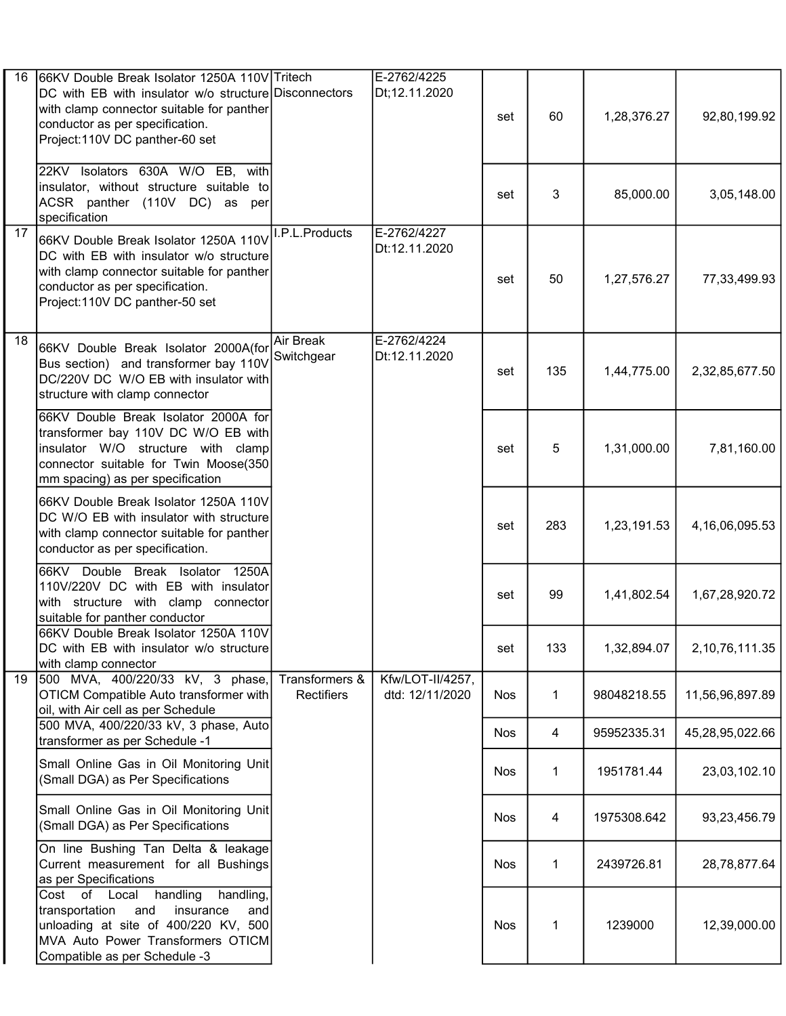| 16              | 66KV Double Break Isolator 1250A 110V Tritech<br>DC with EB with insulator w/o structure Disconnectors<br>with clamp connector suitable for panther<br>conductor as per specification.<br>Project:110V DC panther-60 set |                                | E-2762/4225<br>Dt;12.11.2020        | set        | 60  | 1,28,376.27 | 92,80,199.92    |
|-----------------|--------------------------------------------------------------------------------------------------------------------------------------------------------------------------------------------------------------------------|--------------------------------|-------------------------------------|------------|-----|-------------|-----------------|
|                 | 22KV Isolators 630A W/O EB, with<br>insulator, without structure suitable to<br>ACSR panther (110V DC) as per<br>specification                                                                                           |                                |                                     | set        | 3   | 85,000.00   | 3,05,148.00     |
| $\overline{17}$ | 66KV Double Break Isolator 1250A 110V<br>DC with EB with insulator w/o structure<br>with clamp connector suitable for panther<br>conductor as per specification.<br>Project:110V DC panther-50 set                       | I.P.L.Products                 | E-2762/4227<br>Dt:12.11.2020        | set        | 50  | 1,27,576.27 | 77,33,499.93    |
| 18              | 66KV Double Break Isolator 2000A(for<br>Bus section) and transformer bay 110V<br>DC/220V DC W/O EB with insulator with<br>structure with clamp connector                                                                 | <b>Air Break</b><br>Switchgear | E-2762/4224<br>Dt:12.11.2020        | set        | 135 | 1,44,775.00 | 2,32,85,677.50  |
|                 | 66KV Double Break Isolator 2000A for<br>transformer bay 110V DC W/O EB with<br>insulator W/O structure with clamp<br>connector suitable for Twin Moose(350<br>mm spacing) as per specification                           |                                |                                     | set        | 5   | 1,31,000.00 | 7,81,160.00     |
|                 | 66KV Double Break Isolator 1250A 110V<br>DC W/O EB with insulator with structure<br>with clamp connector suitable for panther<br>conductor as per specification.                                                         |                                |                                     | set        | 283 | 1,23,191.53 | 4,16,06,095.53  |
|                 | 66KV Double Break Isolator 1250A<br>110V/220V DC with EB with insulator<br>with structure with clamp connector<br>suitable for panther conductor                                                                         |                                |                                     | set        | 99  | 1,41,802.54 | 1,67,28,920.72  |
|                 | 66KV Double Break Isolator 1250A 110V<br>DC with EB with insulator w/o structure<br>with clamp connector                                                                                                                 |                                |                                     | set        | 133 | 1,32,894.07 | 2,10,76,111.35  |
| 19              | 500 MVA, 400/220/33 kV, 3 phase,<br>OTICM Compatible Auto transformer with<br>oil, with Air cell as per Schedule                                                                                                         | Transformers &<br>Rectifiers   | Kfw/LOT-II/4257,<br>dtd: 12/11/2020 | <b>Nos</b> | 1   | 98048218.55 | 11,56,96,897.89 |
|                 | 500 MVA, 400/220/33 kV, 3 phase, Auto<br>transformer as per Schedule -1                                                                                                                                                  |                                |                                     | <b>Nos</b> | 4   | 95952335.31 | 45,28,95,022.66 |
|                 | Small Online Gas in Oil Monitoring Unit<br>(Small DGA) as Per Specifications                                                                                                                                             |                                |                                     | <b>Nos</b> | 1   | 1951781.44  | 23,03,102.10    |
|                 | Small Online Gas in Oil Monitoring Unit<br>(Small DGA) as Per Specifications                                                                                                                                             |                                |                                     | <b>Nos</b> | 4   | 1975308.642 | 93,23,456.79    |
|                 | On line Bushing Tan Delta & leakage<br>Current measurement for all Bushings<br>as per Specifications                                                                                                                     |                                |                                     | <b>Nos</b> | 1   | 2439726.81  | 28,78,877.64    |
|                 | Cost of Local<br>handling<br>handling,<br>transportation<br>and<br>insurance<br>and<br>unloading at site of 400/220 KV, 500<br>MVA Auto Power Transformers OTICM<br>Compatible as per Schedule -3                        |                                |                                     | <b>Nos</b> | 1   | 1239000     | 12,39,000.00    |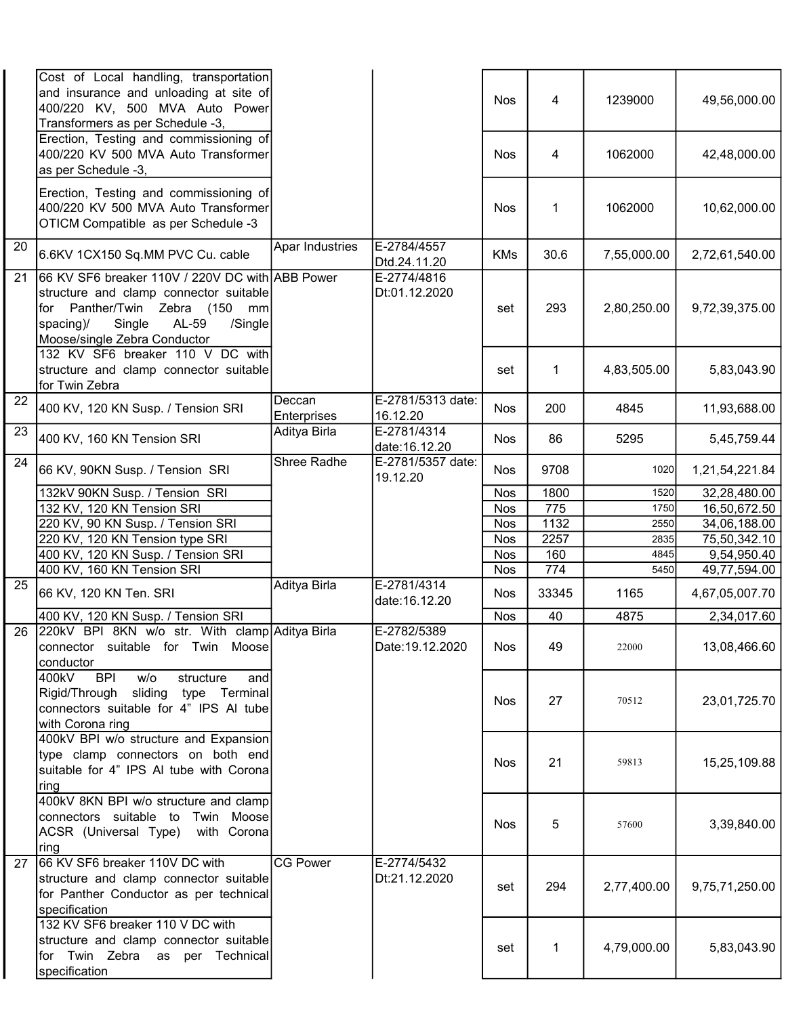|                 | Cost of Local handling, transportation<br>and insurance and unloading at site of<br>400/220 KV, 500 MVA Auto Power<br>Transformers as per Schedule -3,                                                    |                       |                                 | Nos        | 4            | 1239000     | 49,56,000.00   |
|-----------------|-----------------------------------------------------------------------------------------------------------------------------------------------------------------------------------------------------------|-----------------------|---------------------------------|------------|--------------|-------------|----------------|
|                 | Erection, Testing and commissioning of<br>400/220 KV 500 MVA Auto Transformer<br>as per Schedule -3,                                                                                                      |                       |                                 | <b>Nos</b> | 4            | 1062000     | 42,48,000.00   |
|                 | Erection, Testing and commissioning of<br>400/220 KV 500 MVA Auto Transformer<br>OTICM Compatible as per Schedule -3                                                                                      |                       |                                 | Nos        | $\mathbf{1}$ | 1062000     | 10,62,000.00   |
| 20              | 6.6KV 1CX150 Sq.MM PVC Cu. cable                                                                                                                                                                          | Apar Industries       | E-2784/4557<br>Dtd.24.11.20     | <b>KMs</b> | 30.6         | 7,55,000.00 | 2,72,61,540.00 |
| $\overline{21}$ | 66 KV SF6 breaker 110V / 220V DC with ABB Power<br>structure and clamp connector suitable<br>for Panther/Twin Zebra (150<br>mm<br>Single<br>AL-59<br>/Single<br>spacing)/<br>Moose/single Zebra Conductor |                       | E-2774/4816<br>Dt:01.12.2020    | set        | 293          | 2,80,250.00 | 9,72,39,375.00 |
|                 | 132 KV SF6 breaker 110 V DC with<br>structure and clamp connector suitable<br>for Twin Zebra                                                                                                              |                       |                                 | set        | 1            | 4,83,505.00 | 5,83,043.90    |
| $\overline{22}$ | 400 KV, 120 KN Susp. / Tension SRI                                                                                                                                                                        | Deccan<br>Enterprises | E-2781/5313 date:<br>16.12.20   | <b>Nos</b> | 200          | 4845        | 11,93,688.00   |
| 23              | 400 KV, 160 KN Tension SRI                                                                                                                                                                                | Aditya Birla          | E-2781/4314<br>date: 16.12.20   | <b>Nos</b> | 86           | 5295        | 5,45,759.44    |
| $\overline{24}$ | 66 KV, 90KN Susp. / Tension SRI                                                                                                                                                                           | Shree Radhe           | E-2781/5357 date:<br>19.12.20   | <b>Nos</b> | 9708         | 1020        | 1,21,54,221.84 |
|                 | 132kV 90KN Susp. / Tension SRI                                                                                                                                                                            |                       |                                 | <b>Nos</b> | 1800         | 1520        | 32,28,480.00   |
|                 | 132 KV, 120 KN Tension SRI                                                                                                                                                                                |                       |                                 | <b>Nos</b> | 775          | 1750        | 16,50,672.50   |
|                 | 220 KV, 90 KN Susp. / Tension SRI                                                                                                                                                                         |                       |                                 | <b>Nos</b> | 1132         | 2550        | 34,06,188.00   |
|                 | 220 KV, 120 KN Tension type SRI                                                                                                                                                                           |                       |                                 | <b>Nos</b> | 2257         | 2835        | 75,50,342.10   |
|                 |                                                                                                                                                                                                           |                       |                                 |            |              |             |                |
|                 | 400 KV, 120 KN Susp. / Tension SRI                                                                                                                                                                        |                       |                                 | <b>Nos</b> | 160          | 4845        | 9,54,950.40    |
|                 | 400 KV, 160 KN Tension SRI                                                                                                                                                                                |                       |                                 | <b>Nos</b> | 774          | 5450        | 49,77,594.00   |
| $\overline{25}$ | 66 KV, 120 KN Ten. SRI                                                                                                                                                                                    | Aditya Birla          | E-2781/4314<br>date: 16.12.20   | <b>Nos</b> | 33345        | 1165        | 4,67,05,007.70 |
|                 | 400 KV, 120 KN Susp. / Tension SRI                                                                                                                                                                        |                       |                                 | <b>Nos</b> | 40           | 4875        | 2,34,017.60    |
| 26              | 220kV BPI 8KN w/o str. With clamp Aditya Birla<br>connector suitable for Twin Moose<br>conductor                                                                                                          |                       | E-2782/5389<br>Date: 19.12.2020 | <b>Nos</b> | 49           | 22000       | 13,08,466.60   |
|                 | 400kV<br><b>BPI</b><br>w/o<br>structure<br>and<br>Rigid/Through sliding type Terminal<br>connectors suitable for 4" IPS AI tube<br>with Corona ring                                                       |                       |                                 | <b>Nos</b> | 27           | 70512       | 23,01,725.70   |
|                 | 400kV BPI w/o structure and Expansion<br>type clamp connectors on both end<br>suitable for 4" IPS AI tube with Corona<br>ring                                                                             |                       |                                 | <b>Nos</b> | 21           | 59813       | 15,25,109.88   |
|                 | 400kV 8KN BPI w/o structure and clamp<br>connectors suitable to Twin Moose<br>ACSR (Universal Type) with Corona<br> ring                                                                                  |                       |                                 | <b>Nos</b> | 5            | 57600       | 3,39,840.00    |
| 27              | 66 KV SF6 breaker 110V DC with<br>structure and clamp connector suitable<br>for Panther Conductor as per technical<br>specification                                                                       | <b>CG Power</b>       | E-2774/5432<br>Dt:21.12.2020    | set        | 294          | 2,77,400.00 | 9,75,71,250.00 |
|                 | 132 KV SF6 breaker 110 V DC with<br>structure and clamp connector suitable<br>for Twin Zebra as per Technical<br>specification                                                                            |                       |                                 | set        | 1            | 4,79,000.00 | 5,83,043.90    |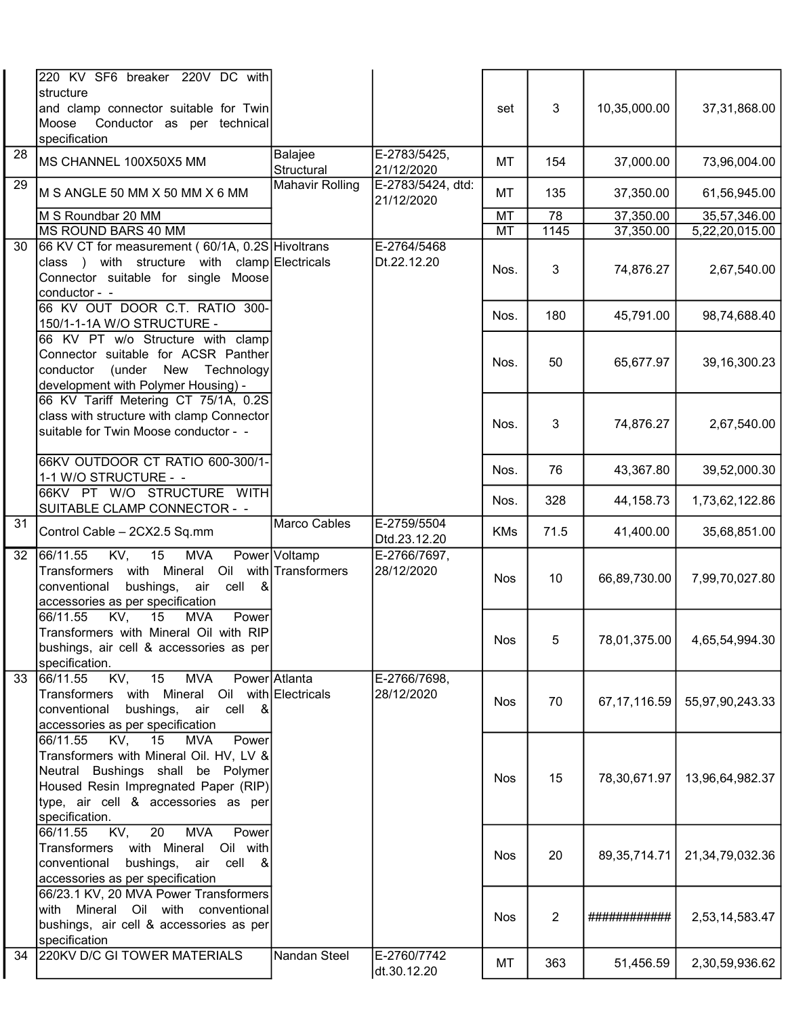|                 | 220 KV SF6 breaker 220V DC with<br>structure<br>and clamp connector suitable for Twin<br>Conductor as per technical<br>Moose<br>specification                                                                       |                                        |                                 | set        | 3              | 10,35,000.00    | 37,31,868.00    |
|-----------------|---------------------------------------------------------------------------------------------------------------------------------------------------------------------------------------------------------------------|----------------------------------------|---------------------------------|------------|----------------|-----------------|-----------------|
| 28              | MS CHANNEL 100X50X5 MM                                                                                                                                                                                              | Balajee<br>Structural                  | E-2783/5425,<br>21/12/2020      | МT         | 154            | 37,000.00       | 73,96,004.00    |
| 29              | M S ANGLE 50 MM X 50 MM X 6 MM                                                                                                                                                                                      | <b>Mahavir Rolling</b>                 | E-2783/5424, dtd:<br>21/12/2020 | МT         | 135            | 37,350.00       | 61,56,945.00    |
|                 | M S Roundbar 20 MM                                                                                                                                                                                                  |                                        |                                 | MT         | 78             | 37,350.00       | 35,57,346.00    |
|                 | MS ROUND BARS 40 MM                                                                                                                                                                                                 |                                        |                                 | MT         | 1145           | 37,350.00       | 5,22,20,015.00  |
| 30              | 66 KV CT for measurement (60/1A, 0.2S Hivoltrans<br>class ) with structure with clamp Electricals<br>Connector suitable for single Moose<br>conductor - -                                                           |                                        | E-2764/5468<br>Dt.22.12.20      | Nos.       | 3              | 74,876.27       | 2,67,540.00     |
|                 | 66 KV OUT DOOR C.T. RATIO 300-<br>150/1-1-1A W/O STRUCTURE -                                                                                                                                                        |                                        |                                 | Nos.       | 180            | 45,791.00       | 98,74,688.40    |
|                 | 66 KV PT w/o Structure with clamp<br>Connector suitable for ACSR Panther<br>(under<br>New Technology<br>conductor<br>development with Polymer Housing) -                                                            |                                        |                                 | Nos.       | 50             | 65,677.97       | 39,16,300.23    |
|                 | 66 KV Tariff Metering CT 75/1A, 0.2S<br>class with structure with clamp Connector<br>suitable for Twin Moose conductor - -                                                                                          |                                        |                                 | Nos.       | 3              | 74,876.27       | 2,67,540.00     |
|                 | 66KV OUTDOOR CT RATIO 600-300/1-<br>1-1 W/O STRUCTURE - -                                                                                                                                                           |                                        |                                 | Nos.       | 76             | 43,367.80       | 39,52,000.30    |
|                 | 66KV PT W/O STRUCTURE WITH<br>SUITABLE CLAMP CONNECTOR - -                                                                                                                                                          |                                        |                                 | Nos.       | 328            | 44,158.73       | 1,73,62,122.86  |
| 31              | Control Cable - 2CX2.5 Sq.mm                                                                                                                                                                                        | Marco Cables                           | E-2759/5504<br>Dtd.23.12.20     | <b>KMs</b> | 71.5           | 41,400.00       | 35,68,851.00    |
| $\overline{32}$ | 66/11.55<br>KV,<br>15<br><b>MVA</b><br>with Mineral<br>Transformers<br>conventional<br>bushings, air<br>cell<br>&<br>accessories as per specification                                                               | Power Voltamp<br>Oil with Transformers | E-2766/7697,<br>28/12/2020      | <b>Nos</b> | 10             | 66,89,730.00    | 7,99,70,027.80  |
|                 | 15<br>$\overline{KV}$ ,<br>66/11.55<br><b>MVA</b><br>Power<br>Transformers with Mineral Oil with RIP<br>bushings, air cell & accessories as per<br>specification.                                                   |                                        |                                 | Nos        | 5 <sup>1</sup> | 78,01,375.00    | 4,65,54,994.30  |
| 33              | KV,<br>$\overline{15}$<br><b>MVA</b><br>66/11.55<br>Transformers with Mineral Oil with Electricals<br>bushings, air cell &<br>conventional<br>accessories as per specification                                      | Power Atlanta                          | E-2766/7698,<br>28/12/2020      | <b>Nos</b> | 70             | 67, 17, 116.59  | 55,97,90,243.33 |
|                 | KV, 15<br>MVA<br>Power<br>66/11.55<br>Transformers with Mineral Oil. HV, LV &<br>Neutral Bushings shall be Polymer<br>Housed Resin Impregnated Paper (RIP)<br>type, air cell & accessories as per<br>specification. |                                        |                                 | <b>Nos</b> | 15             | 78,30,671.97    | 13,96,64,982.37 |
|                 | KV,<br>$\overline{20}$<br><b>MVA</b><br>66/11.55<br>Power<br>Transformers with Mineral<br>Oil with<br>bushings, air cell<br>conventional<br>_&<br>accessories as per specification                                  |                                        |                                 | <b>Nos</b> | 20             | 89, 35, 714. 71 | 21,34,79,032.36 |
|                 | 66/23.1 KV, 20 MVA Power Transformers<br>with Mineral Oil with conventional<br>bushings, air cell & accessories as per<br>specification                                                                             |                                        |                                 | <b>Nos</b> | $\overline{2}$ | ############    | 2,53,14,583.47  |
| 34              | 220KV D/C GI TOWER MATERIALS                                                                                                                                                                                        | Nandan Steel                           | E-2760/7742<br>dt.30.12.20      | MT         | 363            | 51,456.59       | 2,30,59,936.62  |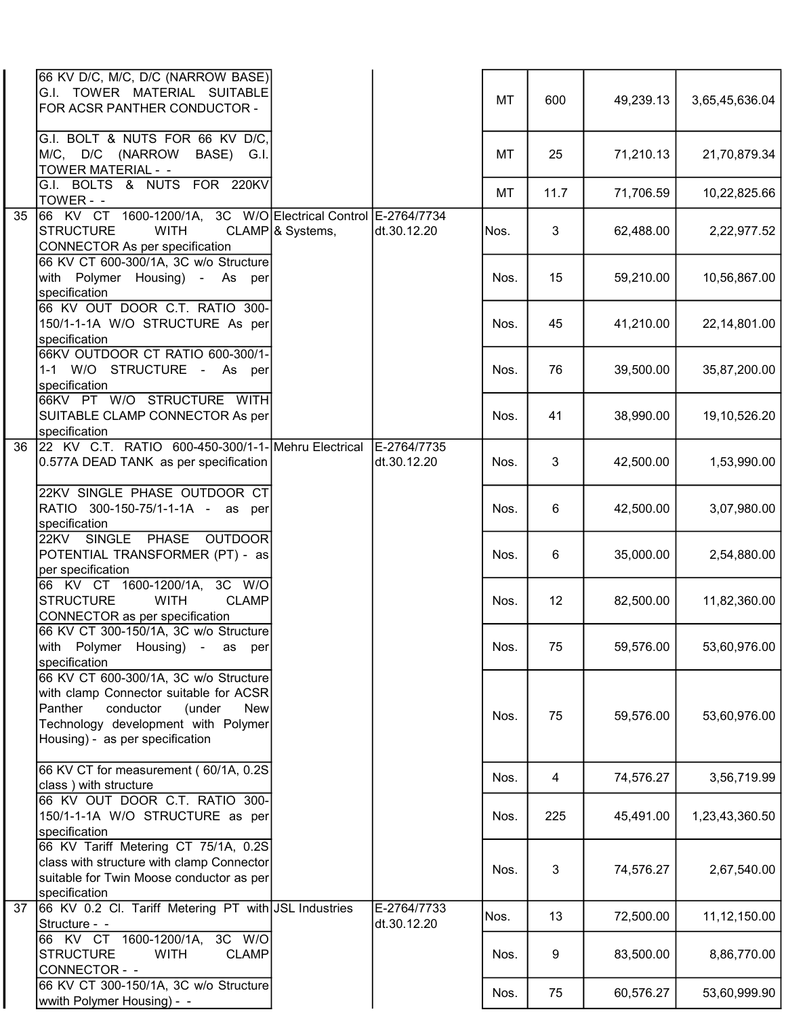|    | 66 KV D/C, M/C, D/C (NARROW BASE)<br>G.I. TOWER MATERIAL SUITABLE<br>FOR ACSR PANTHER CONDUCTOR -                                                                                                         |                             |                            | MT   | 600  | 49,239.13 | 3,65,45,636.04 |
|----|-----------------------------------------------------------------------------------------------------------------------------------------------------------------------------------------------------------|-----------------------------|----------------------------|------|------|-----------|----------------|
|    | G.I. BOLT & NUTS FOR 66 KV D/C,<br>M/C, D/C (NARROW<br>BASE) G.I.<br>TOWER MATERIAL - -                                                                                                                   |                             |                            | MT   | 25   | 71,210.13 | 21,70,879.34   |
|    | G.I. BOLTS & NUTS FOR 220KV<br>TOWER - -                                                                                                                                                                  |                             |                            | MT   | 11.7 | 71,706.59 | 10,22,825.66   |
| 35 | 66 KV CT 1600-1200/1A, 3C W/O Electrical Control E-2764/7734<br><b>STRUCTURE</b><br><b>WITH</b><br><b>CONNECTOR As per specification</b>                                                                  | CLAMP <sup>8</sup> Systems, | dt.30.12.20                | Nos. | 3    | 62,488.00 | 2,22,977.52    |
|    | 66 KV CT 600-300/1A, 3C w/o Structure<br>with Polymer Housing) - As per<br>specification                                                                                                                  |                             |                            | Nos. | 15   | 59,210.00 | 10,56,867.00   |
|    | 66 KV OUT DOOR C.T. RATIO 300-<br>150/1-1-1A W/O STRUCTURE As per<br>specification                                                                                                                        |                             |                            | Nos. | 45   | 41,210.00 | 22,14,801.00   |
|    | 66KV OUTDOOR CT RATIO 600-300/1-<br>1-1 W/O STRUCTURE - As per<br>specification                                                                                                                           |                             |                            | Nos. | 76   | 39,500.00 | 35,87,200.00   |
|    | 66KV PT W/O STRUCTURE WITH<br>SUITABLE CLAMP CONNECTOR As per<br>specification                                                                                                                            |                             |                            | Nos. | 41   | 38,990.00 | 19,10,526.20   |
| 36 | 22 KV C.T. RATIO 600-450-300/1-1- Mehru Electrical<br>0.577A DEAD TANK as per specification                                                                                                               |                             | E-2764/7735<br>dt.30.12.20 | Nos. | 3    | 42,500.00 | 1,53,990.00    |
|    | 22KV SINGLE PHASE OUTDOOR CT<br>RATIO 300-150-75/1-1-1A - as per<br>specification                                                                                                                         |                             |                            | Nos. | 6    | 42,500.00 | 3,07,980.00    |
|    | 22KV SINGLE PHASE OUTDOOR<br>POTENTIAL TRANSFORMER (PT) - as<br>per specification                                                                                                                         |                             |                            | Nos. | 6    | 35,000.00 | 2,54,880.00    |
|    | 66 KV CT 1600-1200/1A, 3C W/O<br><b>STRUCTURE</b><br><b>WITH</b><br><b>CLAMP</b><br>CONNECTOR as per specification                                                                                        |                             |                            | Nos. | 12   | 82,500.00 | 11,82,360.00   |
|    | 66 KV CT 300-150/1A, 3C w/o Structure<br>with Polymer Housing) -<br>as<br>per<br>specification                                                                                                            |                             |                            | Nos. | 75   | 59,576.00 | 53,60,976.00   |
|    | 66 KV CT 600-300/1A, 3C w/o Structure<br>with clamp Connector suitable for ACSR<br>Panther<br>conductor<br>(under<br><b>New</b><br>Technology development with Polymer<br>Housing) - as per specification |                             |                            | Nos. | 75   | 59,576.00 | 53,60,976.00   |
|    | 66 KV CT for measurement (60/1A, 0.2S<br>class) with structure                                                                                                                                            |                             |                            | Nos. | 4    | 74,576.27 | 3,56,719.99    |
|    | 66 KV OUT DOOR C.T. RATIO 300-<br>150/1-1-1A W/O STRUCTURE as per<br>specification                                                                                                                        |                             |                            | Nos. | 225  | 45,491.00 | 1,23,43,360.50 |
|    | 66 KV Tariff Metering CT 75/1A, 0.2S<br>class with structure with clamp Connector<br>suitable for Twin Moose conductor as per<br>specification                                                            |                             |                            | Nos. | 3    | 74,576.27 | 2,67,540.00    |
| 37 | 66 KV 0.2 Cl. Tariff Metering PT with JSL Industries<br>Structure - -                                                                                                                                     |                             | E-2764/7733<br>dt.30.12.20 | Nos. | 13   | 72,500.00 | 11,12,150.00   |
|    | 66 KV CT 1600-1200/1A,<br>3C W/O<br><b>STRUCTURE</b><br><b>WITH</b><br><b>CLAMP</b><br>CONNECTOR - -                                                                                                      |                             |                            | Nos. | 9    | 83,500.00 | 8,86,770.00    |
|    | 66 KV CT 300-150/1A, 3C w/o Structure<br>wwith Polymer Housing) - -                                                                                                                                       |                             |                            | Nos. | 75   | 60,576.27 | 53,60,999.90   |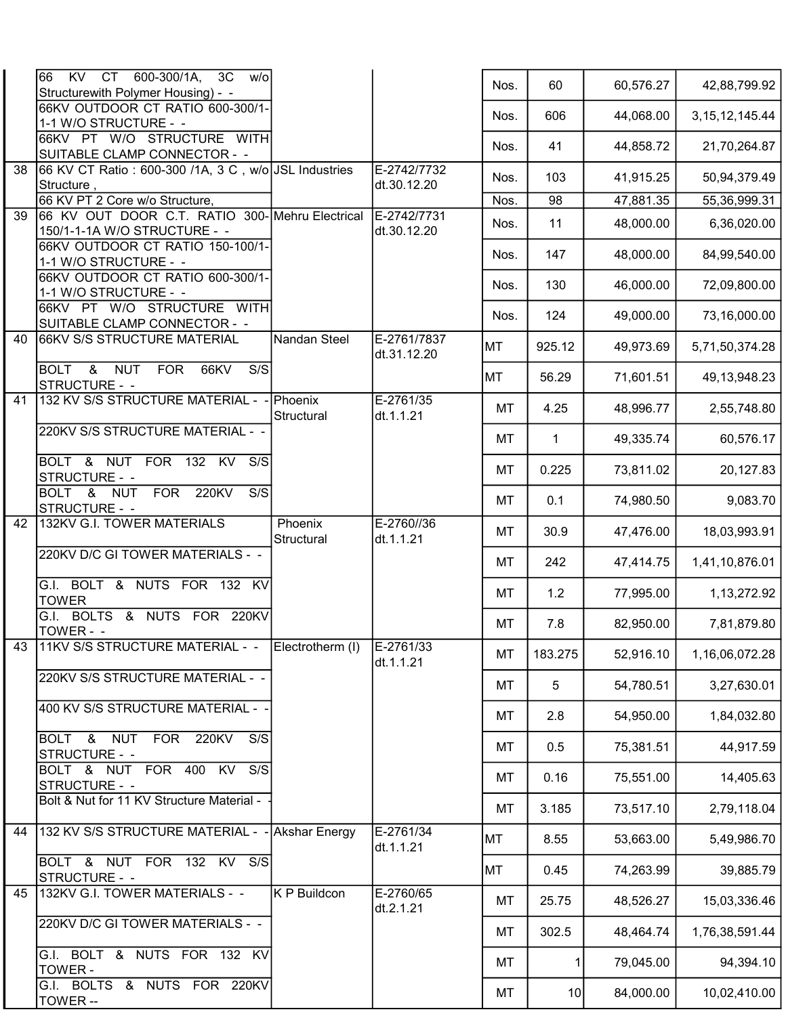|                 | 66<br><b>KV</b><br>CT 600-300/1A,<br>3C<br>W/O<br>Structurewith Polymer Housing) - - |                              |                            | Nos.      | 60              | 60,576.27 | 42,88,799.92      |
|-----------------|--------------------------------------------------------------------------------------|------------------------------|----------------------------|-----------|-----------------|-----------|-------------------|
|                 | 66KV OUTDOOR CT RATIO 600-300/1-<br>1-1 W/O STRUCTURE - -                            |                              |                            | Nos.      | 606             | 44,068.00 | 3, 15, 12, 145.44 |
|                 | 66KV PT W/O STRUCTURE WITH<br>SUITABLE CLAMP CONNECTOR - -                           |                              |                            | Nos.      | 41              | 44,858.72 | 21,70,264.87      |
| 38              | 66 KV CT Ratio: 600-300 /1A, 3 C, w/o JSL Industries<br>Structure,                   |                              | E-2742/7732<br>dt.30.12.20 | Nos.      | 103             | 41,915.25 | 50,94,379.49      |
|                 | 66 KV PT 2 Core w/o Structure,                                                       |                              |                            | Nos.      | 98              | 47,881.35 | 55,36,999.31      |
| $\overline{39}$ | 66 KV OUT DOOR C.T. RATIO 300- Mehru Electrical<br>150/1-1-1A W/O STRUCTURE - -      |                              | E-2742/7731<br>dt.30.12.20 | Nos.      | 11              | 48,000.00 | 6,36,020.00       |
|                 | 66KV OUTDOOR CT RATIO 150-100/1-<br>1-1 W/O STRUCTURE - -                            |                              |                            | Nos.      | 147             | 48,000.00 | 84,99,540.00      |
|                 | 66KV OUTDOOR CT RATIO 600-300/1-<br>1-1 W/O STRUCTURE - -                            |                              |                            | Nos.      | 130             | 46,000.00 | 72,09,800.00      |
|                 | 66KV PT W/O STRUCTURE WITH<br>SUITABLE CLAMP CONNECTOR - -                           |                              |                            | Nos.      | 124             | 49,000.00 | 73,16,000.00      |
| 40              | 66KV S/S STRUCTURE MATERIAL                                                          | Nandan Steel                 | E-2761/7837<br>dt.31.12.20 | MT        | 925.12          | 49,973.69 | 5,71,50,374.28    |
|                 | BOLT &<br><b>NUT</b><br><b>FOR</b><br>66KV<br>S/S<br>STRUCTURE - -                   |                              |                            | <b>MT</b> | 56.29           | 71,601.51 | 49, 13, 948. 23   |
| 41              | 132 KV S/S STRUCTURE MATERIAL -                                                      | <b>Phoenix</b><br>Structural | $E - 2761/35$<br>dt.1.1.21 | MT        | 4.25            | 48,996.77 | 2,55,748.80       |
|                 | 220KV S/S STRUCTURE MATERIAL - -                                                     |                              |                            | MT        | $\mathbf 1$     | 49,335.74 | 60,576.17         |
|                 | BOLT & NUT FOR 132 KV<br>S/S<br>STRUCTURE - -                                        |                              |                            | MT        | 0.225           | 73,811.02 | 20,127.83         |
|                 | <b>FOR</b><br>220KV<br>S/S<br>BOLT & NUT<br>STRUCTURE - -                            |                              |                            | MT        | 0.1             | 74,980.50 | 9,083.70          |
| 42              | 132KV G.I. TOWER MATERIALS                                                           | Phoenix<br>Structural        | E-2760//36<br>dt.1.1.21    | MT        | 30.9            | 47,476.00 | 18,03,993.91      |
|                 | 220KV D/C GI TOWER MATERIALS - -                                                     |                              |                            | MT        | 242             | 47,414.75 | 1,41,10,876.01    |
|                 | G.I. BOLT & NUTS FOR 132 KV<br><b>TOWER</b>                                          |                              |                            | MT        | 1.2             | 77,995.00 | 1,13,272.92       |
|                 | G.I. BOLTS & NUTS FOR 220KV<br>TOWER - -                                             |                              |                            | МT        | 7.8             | 82,950.00 | 7,81,879.80       |
| 43              | 11KV S/S STRUCTURE MATERIAL - -                                                      | Electrotherm (I)             | E-2761/33<br>dt.1.1.21     | MT        | 183.275         | 52,916.10 | 1,16,06,072.28    |
|                 | 220KV S/S STRUCTURE MATERIAL - -                                                     |                              |                            | MT        | 5               | 54,780.51 | 3,27,630.01       |
|                 | 400 KV S/S STRUCTURE MATERIAL -                                                      |                              |                            | MT        | 2.8             | 54,950.00 | 1,84,032.80       |
|                 | NUT FOR<br>220KV<br>S/S<br>BOLT &<br>STRUCTURE - -                                   |                              |                            | MT        | 0.5             | 75,381.51 | 44,917.59         |
|                 | BOLT & NUT FOR 400 KV<br>S/S<br>STRUCTURE - -                                        |                              |                            | MT        | 0.16            | 75,551.00 | 14,405.63         |
|                 | Bolt & Nut for 11 KV Structure Material -                                            |                              |                            | MT        | 3.185           | 73,517.10 | 2,79,118.04       |
| 44              | 132 KV S/S STRUCTURE MATERIAL - - Akshar Energy                                      |                              | E-2761/34<br>dt.1.1.21     | MT        | 8.55            | 53,663.00 | 5,49,986.70       |
|                 | BOLT & NUT FOR 132 KV S/S<br>STRUCTURE - -                                           |                              |                            | MT        | 0.45            | 74,263.99 | 39,885.79         |
| 45              | 132KV G.I. TOWER MATERIALS - -                                                       | K P Buildcon                 | E-2760/65<br>dt.2.1.21     | MT        | 25.75           | 48,526.27 | 15,03,336.46      |
|                 | 220KV D/C GI TOWER MATERIALS - -                                                     |                              |                            | MT        | 302.5           | 48,464.74 | 1,76,38,591.44    |
|                 | G.I. BOLT & NUTS FOR 132 KV<br>TOWER -                                               |                              |                            | MT        | 11              | 79,045.00 | 94,394.10         |
|                 | G.I. BOLTS & NUTS FOR 220KV<br>TOWER --                                              |                              |                            | MT        | 10 <sup>1</sup> | 84,000.00 | 10,02,410.00      |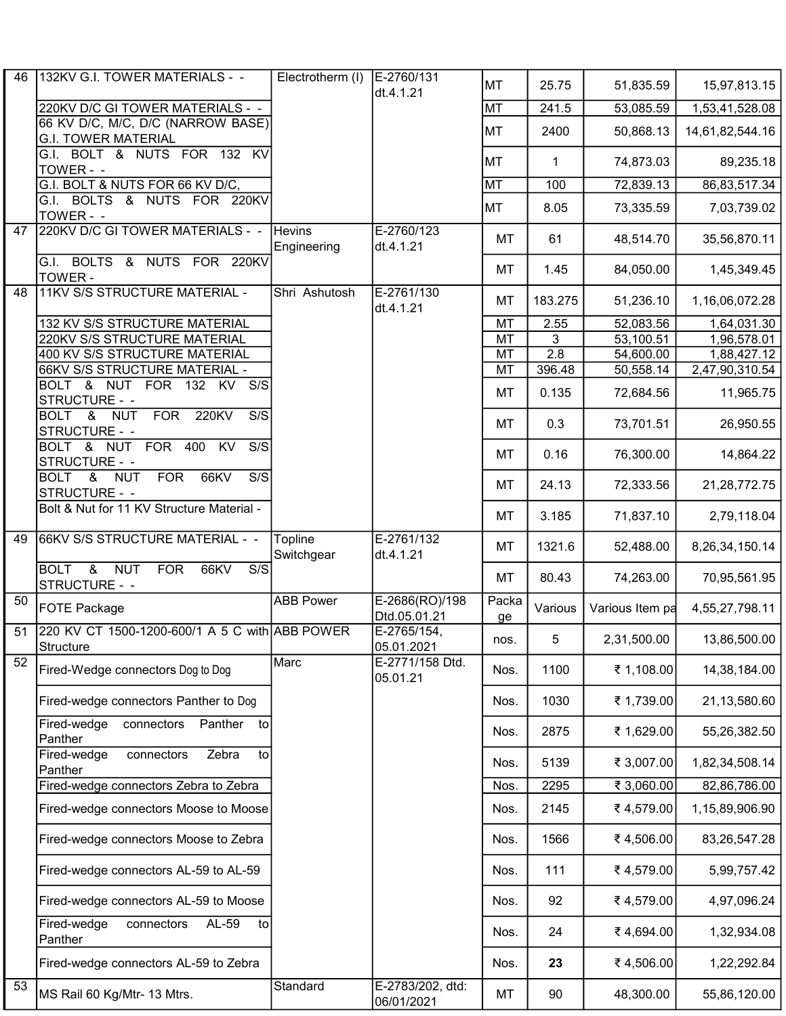| 46 | 132KV G.I. TOWER MATERIALS - -                                                                     | Electrotherm (I)             | E-2760/131<br>dt.4.1.21        | <b>MT</b>   | 25.75            | 51,835.59       | 15,97,813.15    |
|----|----------------------------------------------------------------------------------------------------|------------------------------|--------------------------------|-------------|------------------|-----------------|-----------------|
|    | 220KV D/C GI TOWER MATERIALS - -                                                                   |                              |                                | <b>MT</b>   | 241.5            | 53,085.59       | 1,53,41,528.08  |
|    | 66 KV D/C, M/C, D/C (NARROW BASE)<br><b>G.I. TOWER MATERIAL</b>                                    |                              |                                | <b>MT</b>   | 2400             | 50,868.13       | 14,61,82,544.16 |
|    | G.I. BOLT & NUTS FOR 132 KV<br>TOWER - -                                                           |                              |                                | <b>MT</b>   | $\mathbf{1}$     | 74,873.03       | 89,235.18       |
|    | G.I. BOLT & NUTS FOR 66 KV D/C,                                                                    |                              |                                | <b>MT</b>   | 100              | 72,839.13       | 86,83,517.34    |
|    | G.I. BOLTS & NUTS FOR 220KV<br>TOWER - -                                                           |                              |                                | <b>MT</b>   | 8.05             | 73,335.59       | 7,03,739.02     |
| 47 | 220KV D/C GI TOWER MATERIALS - -                                                                   | <b>Hevins</b><br>Engineering | E-2760/123<br>dt.4.1.21        | MT          | 61               | 48,514.70       | 35,56,870.11    |
|    | G.I. BOLTS & NUTS FOR 220KV<br>TOWER -                                                             |                              |                                | MT          | 1.45             | 84,050.00       | 1,45,349.45     |
| 48 | <b>11KV S/S STRUCTURE MATERIAL -</b>                                                               | Shri Ashutosh                | E-2761/130<br>dt.4.1.21        | MT          | 183.275          | 51,236.10       | 1,16,06,072.28  |
|    | 132 KV S/S STRUCTURE MATERIAL                                                                      |                              |                                | MT          | 2.55             | 52,083.56       | 1,64,031.30     |
|    | 220KV S/S STRUCTURE MATERIAL                                                                       |                              |                                | MT          | 3                | 53,100.51       | 1,96,578.01     |
|    | <b>400 KV S/S STRUCTURE MATERIAL</b>                                                               |                              |                                | MT          | $\overline{2.8}$ | 54,600.00       | 1,88,427.12     |
|    | 66KV S/S STRUCTURE MATERIAL -                                                                      |                              |                                | MT          | 396.48           | 50,558.14       | 2,47,90,310.54  |
|    | BOLT & NUT FOR 132 KV<br>$\overline{S/S}$<br>STRUCTURE - -                                         |                              |                                | MT          | 0.135            | 72,684.56       | 11,965.75       |
|    | BOLT & NUT<br><b>FOR</b><br>220KV<br>S/S<br>STRUCTURE - -                                          |                              |                                | МT          | 0.3              | 73,701.51       | 26,950.55       |
|    | BOLT & NUT FOR 400<br>$\overline{KV}$<br>$\overline{S/S}$<br>STRUCTURE - -                         |                              |                                | MT          | 0.16             | 76,300.00       | 14,864.22       |
|    | <b>FOR</b><br>66KV<br>$\overline{S/S}$<br>BOLT &<br><b>NUT</b><br>STRUCTURE - -                    |                              |                                | МT          | 24.13            | 72,333.56       | 21,28,772.75    |
|    | Bolt & Nut for 11 KV Structure Material -                                                          |                              |                                | MT          | 3.185            | 71,837.10       | 2,79,118.04     |
| 49 | 66KV S/S STRUCTURE MATERIAL - -                                                                    | Topline<br>Switchgear        | E-2761/132<br>dt.4.1.21        | MT          | 1321.6           | 52,488.00       | 8,26,34,150.14  |
|    | $\overline{\mathbf{g}}$<br><b>NUT</b><br><b>BOLT</b><br><b>FOR</b><br>S/S<br>66KV<br>STRUCTURE - - |                              |                                | MT          | 80.43            | 74,263.00       | 70,95,561.95    |
| 50 | <b>FOTE Package</b>                                                                                | <b>ABB Power</b>             | E-2686(RO)/198<br>Dtd.05.01.21 | Packa<br>ge | Various          | Various Item pa | 4,55,27,798.11  |
| 51 | 220 KV CT 1500-1200-600/1 A 5 C with ABB POWER<br>Structure                                        |                              | E-2765/154,<br>05.01.2021      | nos.        | 5 <sub>1</sub>   | 2,31,500.00     | 13,86,500.00    |
| 52 | Fired-Wedge connectors Dog to Dog                                                                  | Marc                         | E-2771/158 Dtd.<br>05.01.21    | Nos.        | 1100             | ₹ 1,108.00      | 14,38,184.00    |
|    | Fired-wedge connectors Panther to Dog                                                              |                              |                                | Nos.        | 1030             | ₹ 1,739.00      | 21,13,580.60    |
|    | Fired-wedge<br>connectors<br>Panther<br>to<br>Panther                                              |                              |                                | Nos.        | 2875             | ₹ 1,629.00      | 55,26,382.50    |
|    | Zebra<br>to<br>Fired-wedge<br>connectors<br>Panther                                                |                              |                                | Nos.        | 5139             | ₹ 3,007.00      | 1,82,34,508.14  |
|    | Fired-wedge connectors Zebra to Zebra                                                              |                              |                                | Nos.        | 2295             | ₹ 3,060.00      | 82,86,786.00    |
|    | Fired-wedge connectors Moose to Moose                                                              |                              |                                | Nos.        | 2145             | ₹4,579.00       | 1,15,89,906.90  |
|    | Fired-wedge connectors Moose to Zebra                                                              |                              |                                | Nos.        | 1566             | ₹4,506.00       | 83,26,547.28    |
|    | Fired-wedge connectors AL-59 to AL-59                                                              |                              |                                | Nos.        | 111              | ₹4,579.00       | 5,99,757.42     |
|    | Fired-wedge connectors AL-59 to Moose                                                              |                              |                                | Nos.        | 92               | ₹4,579.00       | 4,97,096.24     |
|    | AL-59<br>Fired-wedge<br>connectors<br>to<br>Panther                                                |                              |                                | Nos.        | 24               | ₹4,694.00       | 1,32,934.08     |
|    | Fired-wedge connectors AL-59 to Zebra                                                              |                              |                                | Nos.        | 23               | ₹4,506.00       | 1,22,292.84     |
| 53 | MS Rail 60 Kg/Mtr- 13 Mtrs.                                                                        | Standard                     | E-2783/202, dtd:<br>06/01/2021 | MT          | 90               | 48,300.00       | 55,86,120.00    |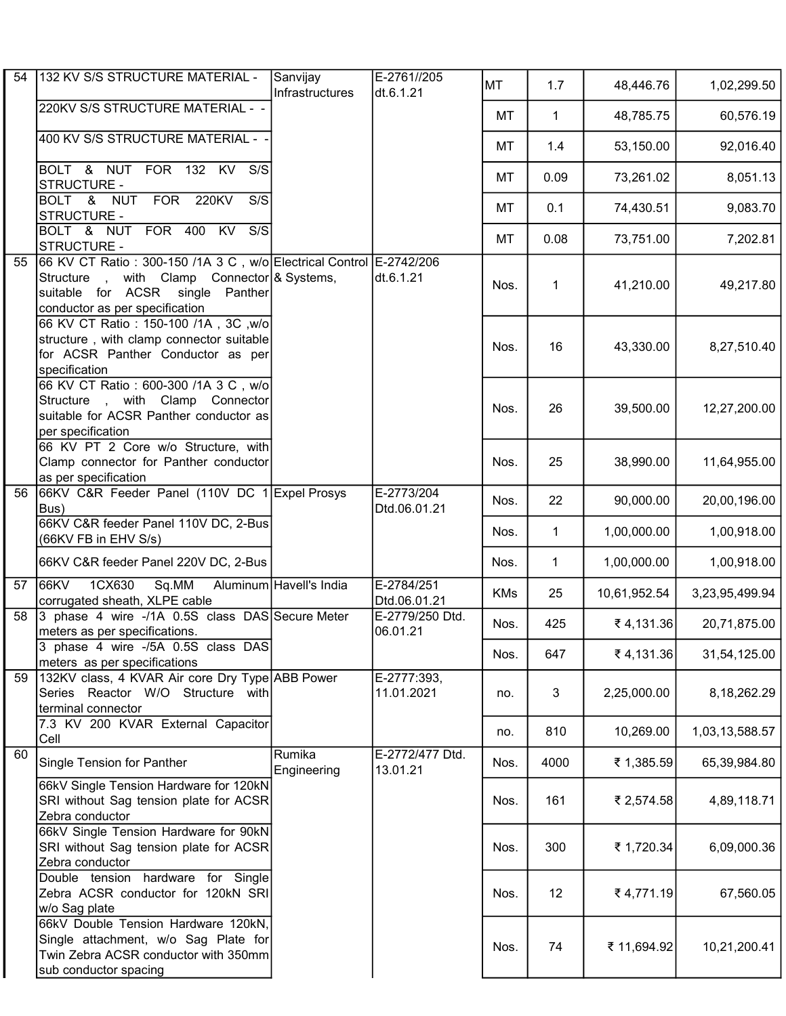| 54 | 132 KV S/S STRUCTURE MATERIAL -                                                                                                                                                        | Sanvijay<br>Infrastructures | E-2761//205<br>dt.6.1.21    | <b>MT</b>  | 1.7          | 48,446.76    | 1,02,299.50    |
|----|----------------------------------------------------------------------------------------------------------------------------------------------------------------------------------------|-----------------------------|-----------------------------|------------|--------------|--------------|----------------|
|    | 220KV S/S STRUCTURE MATERIAL - -                                                                                                                                                       |                             |                             | MT         | $\mathbf{1}$ | 48,785.75    | 60,576.19      |
|    | 400 KV S/S STRUCTURE MATERIAL - -                                                                                                                                                      |                             |                             | МT         | 1.4          | 53,150.00    | 92,016.40      |
|    | BOLT & NUT FOR 132 KV S/S<br>STRUCTURE -                                                                                                                                               |                             |                             | МT         | 0.09         | 73,261.02    | 8,051.13       |
|    | BOLT & NUT<br><b>FOR 220KV</b><br>S/S<br>STRUCTURE -                                                                                                                                   |                             |                             | MT         | 0.1          | 74,430.51    | 9,083.70       |
|    | BOLT & NUT FOR 400 KV<br>S/S<br>STRUCTURE -                                                                                                                                            |                             |                             | <b>MT</b>  | 0.08         | 73,751.00    | 7,202.81       |
| 55 | 66 KV CT Ratio: 300-150 /1A 3 C, w/o Electrical Control E-2742/206<br>Structure, with Clamp Connector & Systems,<br>suitable for ACSR single Panther<br>conductor as per specification |                             | dt.6.1.21                   | Nos.       | $\mathbf 1$  | 41,210.00    | 49,217.80      |
|    | 66 KV CT Ratio: 150-100 /1A, 3C, w/o<br>structure, with clamp connector suitable<br>for ACSR Panther Conductor as per<br>specification                                                 |                             |                             | Nos.       | 16           | 43,330.00    | 8,27,510.40    |
|    | 66 KV CT Ratio: 600-300 /1A 3 C, w/o<br>Structure , with Clamp Connector<br>suitable for ACSR Panther conductor as<br>per specification                                                |                             |                             | Nos.       | 26           | 39,500.00    | 12,27,200.00   |
|    | 66 KV PT 2 Core w/o Structure, with<br>Clamp connector for Panther conductor<br>as per specification                                                                                   |                             |                             | Nos.       | 25           | 38,990.00    | 11,64,955.00   |
| 56 | 66KV C&R Feeder Panel (110V DC 1 Expel Prosys<br>Bus)                                                                                                                                  |                             | E-2773/204<br>Dtd.06.01.21  | Nos.       | 22           | 90,000.00    | 20,00,196.00   |
|    | 66KV C&R feeder Panel 110V DC, 2-Bus<br>(66KV FB in EHV S/s)                                                                                                                           |                             |                             | Nos.       | $\mathbf{1}$ | 1,00,000.00  | 1,00,918.00    |
|    | 66KV C&R feeder Panel 220V DC, 2-Bus                                                                                                                                                   |                             |                             | Nos.       | 1            | 1,00,000.00  | 1,00,918.00    |
| 57 | 66KV<br>1CX630<br>Sq.MM<br>corrugated sheath, XLPE cable                                                                                                                               | Aluminum Havell's India     | E-2784/251<br>Dtd.06.01.21  | <b>KMs</b> | 25           | 10,61,952.54 | 3,23,95,499.94 |
| 58 | 3 phase 4 wire -/1A 0.5S class DAS Secure Meter<br>meters as per specifications.                                                                                                       |                             | E-2779/250 Dtd.<br>06.01.21 | Nos.       | 425          | ₹4,131.36    | 20,71,875.00   |
|    | 3 phase 4 wire -/5A 0.5S class DAS<br>meters as per specifications                                                                                                                     |                             |                             | Nos.       | 647          | ₹4,131.36    | 31,54,125.00   |
| 59 | 132KV class, 4 KVAR Air core Dry Type ABB Power<br>Series Reactor W/O Structure with<br>terminal connector                                                                             |                             | E-2777:393,<br>11.01.2021   | no.        | 3            | 2,25,000.00  | 8,18,262.29    |
|    | 7.3 KV 200 KVAR External Capacitor<br>Cell                                                                                                                                             |                             |                             | no.        | 810          | 10,269.00    | 1,03,13,588.57 |
| 60 | Single Tension for Panther                                                                                                                                                             | Rumika<br>Engineering       | E-2772/477 Dtd.<br>13.01.21 | Nos.       | 4000         | ₹ 1,385.59   | 65,39,984.80   |
|    | 66kV Single Tension Hardware for 120kN<br>SRI without Sag tension plate for ACSR<br>Zebra conductor                                                                                    |                             |                             | Nos.       | 161          | ₹ 2,574.58   | 4,89,118.71    |
|    | 66kV Single Tension Hardware for 90kN<br>SRI without Sag tension plate for ACSR<br>Zebra conductor                                                                                     |                             |                             | Nos.       | 300          | ₹ 1,720.34   | 6,09,000.36    |
|    | Double tension hardware for Single<br>Zebra ACSR conductor for 120kN SRI<br>w/o Sag plate                                                                                              |                             |                             | Nos.       | 12           | ₹4,771.19    | 67,560.05      |
|    | 66kV Double Tension Hardware 120kN,<br>Single attachment, w/o Sag Plate for<br>Twin Zebra ACSR conductor with 350mm<br>sub conductor spacing                                           |                             |                             | Nos.       | 74           | ₹ 11,694.92  | 10,21,200.41   |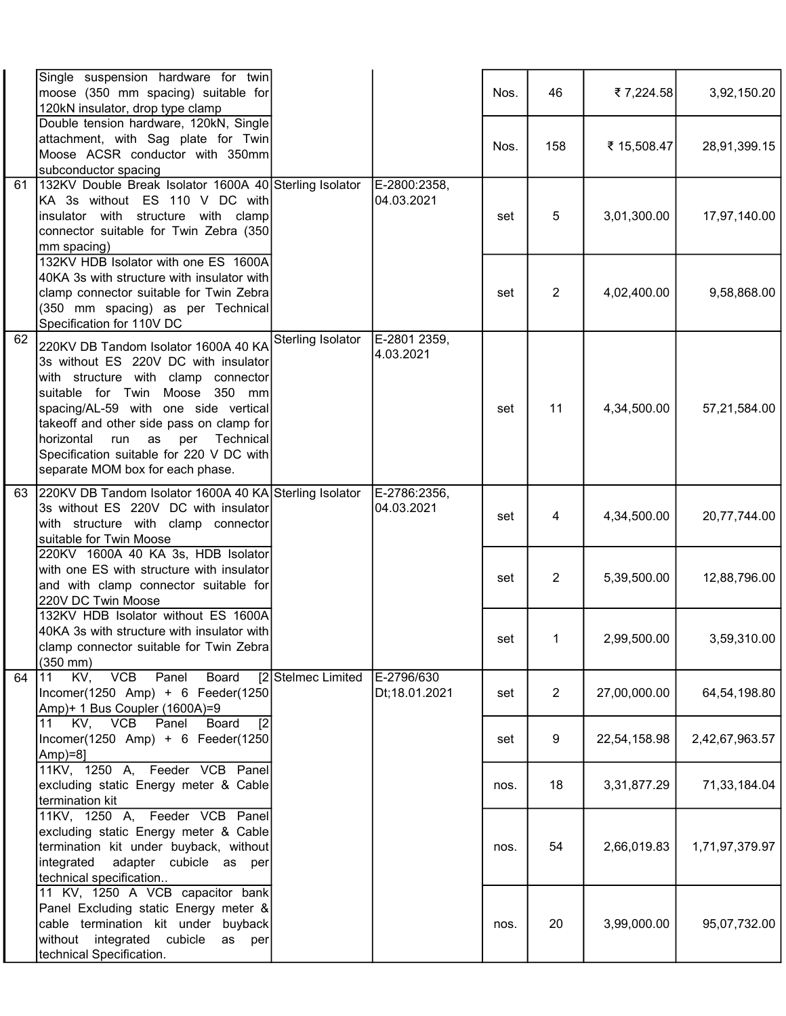|    | Single suspension hardware for twin<br>moose (350 mm spacing) suitable for<br>120kN insulator, drop type clamp                                                                                                                                                                                                                                                           |                    |                             | Nos. | 46             | ₹7,224.58    | 3,92,150.20    |
|----|--------------------------------------------------------------------------------------------------------------------------------------------------------------------------------------------------------------------------------------------------------------------------------------------------------------------------------------------------------------------------|--------------------|-----------------------------|------|----------------|--------------|----------------|
|    | Double tension hardware, 120kN, Single<br>attachment, with Sag plate for Twin<br>Moose ACSR conductor with 350mm<br>subconductor spacing                                                                                                                                                                                                                                 |                    |                             | Nos. | 158            | ₹ 15,508.47  | 28,91,399.15   |
| 61 | 132KV Double Break Isolator 1600A 40 Sterling Isolator<br>KA 3s without ES 110 V DC with<br>insulator with structure with clamp<br>connector suitable for Twin Zebra (350<br>mm spacing)                                                                                                                                                                                 |                    | E-2800:2358,<br>04.03.2021  | set  | 5              | 3,01,300.00  | 17,97,140.00   |
|    | 132KV HDB Isolator with one ES 1600A<br>40KA 3s with structure with insulator with<br>clamp connector suitable for Twin Zebra<br>(350 mm spacing) as per Technical<br>Specification for 110V DC                                                                                                                                                                          |                    |                             | set  | $\overline{2}$ | 4,02,400.00  | 9,58,868.00    |
| 62 | 220KV DB Tandom Isolator 1600A 40 KA<br>3s without ES 220V DC with insulator<br>with structure with clamp connector<br>suitable for Twin Moose 350 mm<br>spacing/AL-59 with one side vertical<br>takeoff and other side pass on clamp for<br>horizontal<br>run<br>as<br>per<br>Technical<br>Specification suitable for 220 V DC with<br>separate MOM box for each phase. | Sterling Isolator  | E-2801 2359,<br>4.03.2021   | set  | 11             | 4,34,500.00  | 57,21,584.00   |
| 63 | 220KV DB Tandom Isolator 1600A 40 KA Sterling Isolator<br>3s without ES 220V DC with insulator<br>with structure with clamp connector<br>suitable for Twin Moose                                                                                                                                                                                                         |                    | E-2786:2356,<br>04.03.2021  | set  | 4              | 4,34,500.00  | 20,77,744.00   |
|    | 220KV 1600A 40 KA 3s, HDB Isolator<br>with one ES with structure with insulator<br>and with clamp connector suitable for<br>220V DC Twin Moose                                                                                                                                                                                                                           |                    |                             | set  | $\overline{2}$ | 5,39,500.00  | 12,88,796.00   |
|    | 132KV HDB Isolator without ES 1600A<br>40KA 3s with structure with insulator with<br>clamp connector suitable for Twin Zebra<br>$(350$ mm $)$                                                                                                                                                                                                                            |                    |                             | set  | 1              | 2,99,500.00  | 3,59,310.00    |
| 64 | KV, VCB<br>11<br>Panel<br>Board<br>Incomer(1250 Amp) + 6 Feeder(1250<br>Amp)+ 1 Bus Coupler (1600A)=9                                                                                                                                                                                                                                                                    | [2 Stelmec Limited | E-2796/630<br>Dt;18.01.2021 | set  | $\overline{2}$ | 27,00,000.00 | 64,54,198.80   |
|    | 11 KV, VCB Panel<br>Board<br>$\sqrt{2}$<br>Incomer(1250 Amp) + 6 Feeder(1250<br>Amp)=8]                                                                                                                                                                                                                                                                                  |                    |                             | set  | 9              | 22,54,158.98 | 2,42,67,963.57 |
|    | 11KV, 1250 A, Feeder VCB Panel<br>excluding static Energy meter & Cable<br>termination kit                                                                                                                                                                                                                                                                               |                    |                             | nos. | 18             | 3,31,877.29  | 71,33,184.04   |
|    | 11KV, 1250 A, Feeder VCB Panel<br>excluding static Energy meter & Cable<br>termination kit under buyback, without<br>adapter cubicle as per<br>integrated<br>technical specification                                                                                                                                                                                     |                    |                             | nos. | 54             | 2,66,019.83  | 1,71,97,379.97 |
|    | 11 KV, 1250 A VCB capacitor bank<br>Panel Excluding static Energy meter &<br>cable termination kit under buyback<br>without integrated cubicle<br>as per<br>technical Specification.                                                                                                                                                                                     |                    |                             | nos. | 20             | 3,99,000.00  | 95,07,732.00   |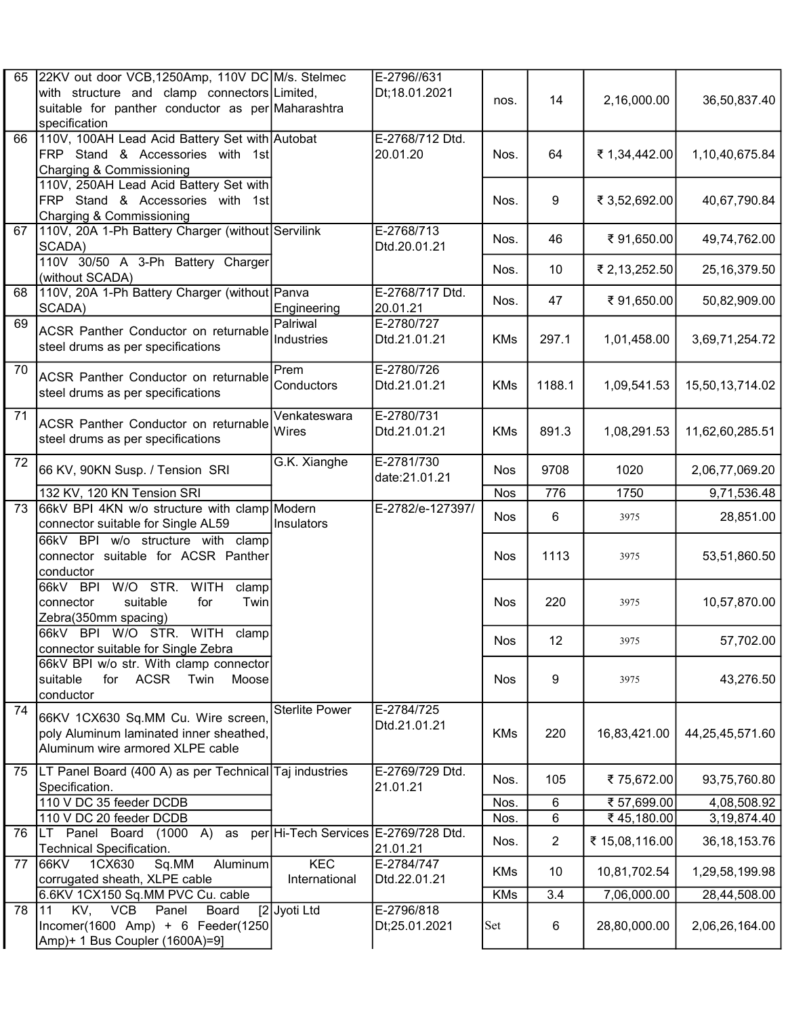| 65 | 22KV out door VCB,1250Amp, 110V DC M/s. Stelmec<br>with structure and clamp connectors Limited,                   |                                      | E-2796//631<br>Dt;18.01.2021 | nos.       | 14              | 2,16,000.00    | 36,50,837.40    |
|----|-------------------------------------------------------------------------------------------------------------------|--------------------------------------|------------------------------|------------|-----------------|----------------|-----------------|
|    | suitable for panther conductor as per Maharashtra<br>specification                                                |                                      |                              |            |                 |                |                 |
| 66 | 110V, 100AH Lead Acid Battery Set with Autobat<br>FRP Stand & Accessories with 1st<br>Charging & Commissioning    |                                      | E-2768/712 Dtd.<br>20.01.20  | Nos.       | 64              | ₹ 1,34,442.00  | 1,10,40,675.84  |
|    | 110V, 250AH Lead Acid Battery Set with<br>FRP Stand & Accessories with 1st<br>Charging & Commissioning            |                                      |                              | Nos.       | 9               | ₹ 3,52,692.00  | 40,67,790.84    |
| 67 | 110V, 20A 1-Ph Battery Charger (without Servilink<br>SCADA)                                                       |                                      | E-2768/713<br>Dtd.20.01.21   | Nos.       | 46              | ₹91,650.00     | 49,74,762.00    |
|    | 110V 30/50 A 3-Ph Battery Charger<br>(without SCADA)                                                              |                                      |                              | Nos.       | 10              | ₹ 2,13,252.50  | 25, 16, 379.50  |
| 68 | 110V, 20A 1-Ph Battery Charger (without Panva<br>SCADA)                                                           | Engineering                          | E-2768/717 Dtd.<br>20.01.21  | Nos.       | 47              | ₹91,650.00     | 50,82,909.00    |
| 69 | ACSR Panther Conductor on returnable<br>steel drums as per specifications                                         | Palriwal<br>Industries               | E-2780/727<br>Dtd.21.01.21   | <b>KMs</b> | 297.1           | 1,01,458.00    | 3,69,71,254.72  |
| 70 | ACSR Panther Conductor on returnable<br>steel drums as per specifications                                         | Prem<br>Conductors                   | E-2780/726<br>Dtd.21.01.21   | <b>KMs</b> | 1188.1          | 1,09,541.53    | 15,50,13,714.02 |
| 71 | <b>ACSR Panther Conductor on returnable</b><br>steel drums as per specifications                                  | Venkateswara<br>Wires                | E-2780/731<br>Dtd.21.01.21   | <b>KMs</b> | 891.3           | 1,08,291.53    | 11,62,60,285.51 |
| 72 | 66 KV, 90KN Susp. / Tension SRI                                                                                   | G.K. Xianghe                         | E-2781/730<br>date:21.01.21  | <b>Nos</b> | 9708            | 1020           | 2,06,77,069.20  |
|    | 132 KV, 120 KN Tension SRI                                                                                        |                                      |                              | <b>Nos</b> | 776             | 1750           | 9,71,536.48     |
| 73 | 66kV BPI 4KN w/o structure with clamp Modern<br>connector suitable for Single AL59                                | Insulators                           | E-2782/e-127397/             | Nos        | 6               | 3975           | 28,851.00       |
|    | 66kV BPI w/o structure with clamp<br>connector suitable for ACSR Panther<br> conductor                            |                                      |                              | <b>Nos</b> | 1113            | 3975           | 53,51,860.50    |
|    | W/O STR.<br>66kV BPI<br><b>WITH</b><br>clamp<br>suitable<br>Twin<br>connector<br>for<br>Zebra(350mm spacing)      |                                      |                              | <b>Nos</b> | 220             | 3975           | 10,57,870.00    |
|    | 66kV BPI W/O STR. WITH clamp<br>connector suitable for Single Zebra                                               |                                      |                              | Nos        | 12 <sub>2</sub> | 3975           | 57,702.00       |
|    | 66kV BPI w/o str. With clamp connector<br>ACSR<br>İsuitable<br>for<br>Twin<br>Moose<br>conductor                  |                                      |                              | <b>Nos</b> | 9               | 3975           | 43,276.50       |
| 74 | 66KV 1CX630 Sq.MM Cu. Wire screen,<br>poly Aluminum laminated inner sheathed,<br>Aluminum wire armored XLPE cable | <b>Sterlite Power</b>                | E-2784/725<br>Dtd.21.01.21   | <b>KMs</b> | 220             | 16,83,421.00   | 44,25,45,571.60 |
| 75 | LT Panel Board (400 A) as per Technical Taj industries<br>Specification.                                          |                                      | E-2769/729 Dtd.<br>21.01.21  | Nos.       | 105             | ₹75,672.00     | 93,75,760.80    |
|    | 110 V DC 35 feeder DCDB                                                                                           |                                      |                              | Nos.       | 6               | ₹ 57,699.00    | 4,08,508.92     |
|    | 110 V DC 20 feeder DCDB                                                                                           |                                      |                              | Nos.       | 6               | ₹45,180.00     | 3,19,874.40     |
| 76 | LT Panel Board (1000 A)<br>as<br>Technical Specification.                                                         | per Hi-Tech Services E-2769/728 Dtd. | 21.01.21                     | Nos.       | 2               | ₹ 15,08,116.00 | 36, 18, 153. 76 |
| 77 | Sq.MM<br>66KV<br>1CX630<br>Aluminum<br>corrugated sheath, XLPE cable                                              | KEC<br>International                 | E-2784/747<br>Dtd.22.01.21   | KMs        | 10              | 10,81,702.54   | 1,29,58,199.98  |
|    | 6.6KV 1CX150 Sq.MM PVC Cu. cable                                                                                  |                                      |                              | KMs        | 3.4             | 7,06,000.00    | 28,44,508.00    |
| 78 | 11<br>KV, VCB Panel<br>Board<br>Incomer(1600 Amp) + 6 Feeder(1250<br>Amp)+ 1 Bus Coupler (1600A)=9]               | [2 Jyoti Ltd                         | E-2796/818<br>Dt;25.01.2021  | Set        | 6               | 28,80,000.00   | 2,06,26,164.00  |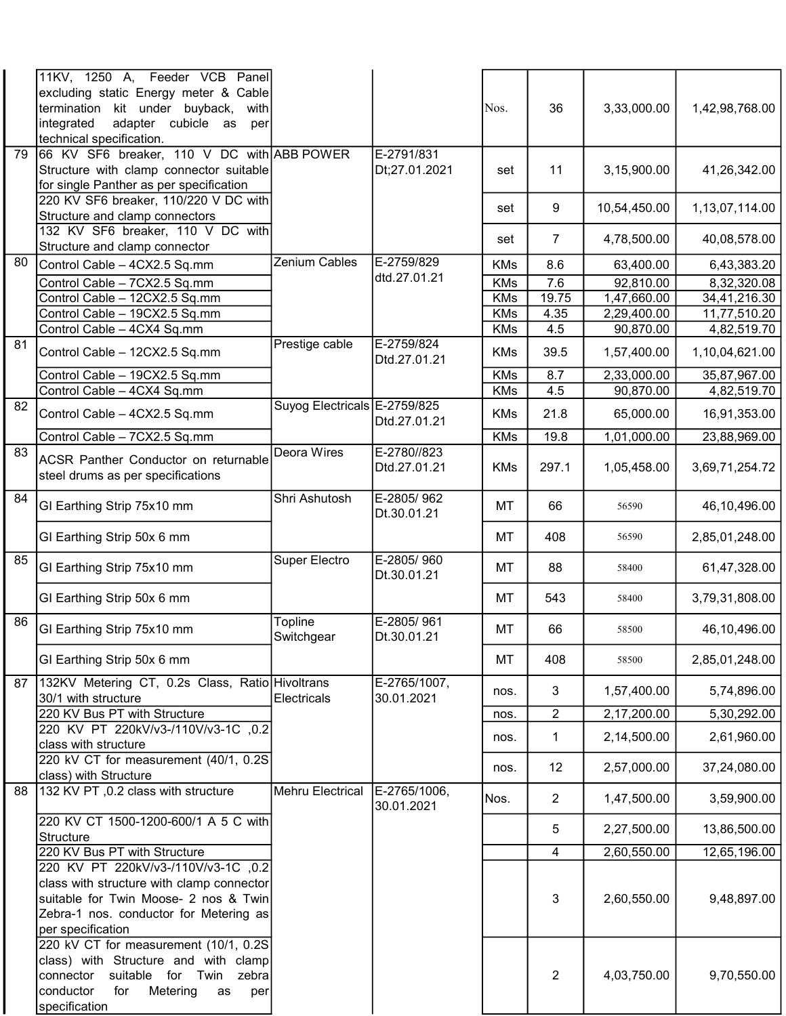|                 | 11KV, 1250 A, Feeder VCB Panel<br>excluding static Energy meter & Cable<br>termination kit under buyback,<br>with<br>adapter cubicle as<br>integrated<br>per<br>technical specification. |                              |                             | Nos.       | 36             | 3,33,000.00  | 1,42,98,768.00 |
|-----------------|------------------------------------------------------------------------------------------------------------------------------------------------------------------------------------------|------------------------------|-----------------------------|------------|----------------|--------------|----------------|
| 79              | 66 KV SF6 breaker, 110 V DC with ABB POWER<br>Structure with clamp connector suitable<br>for single Panther as per specification                                                         |                              | E-2791/831<br>Dt;27.01.2021 | set        | 11             | 3,15,900.00  | 41,26,342.00   |
|                 | 220 KV SF6 breaker, 110/220 V DC with<br>Structure and clamp connectors                                                                                                                  |                              |                             | set        | 9              | 10,54,450.00 | 1,13,07,114.00 |
|                 | 132 KV SF6 breaker, 110 V DC with<br>Structure and clamp connector                                                                                                                       |                              |                             | set        | 7              | 4,78,500.00  | 40,08,578.00   |
| 80              | Control Cable - 4CX2.5 Sq.mm                                                                                                                                                             | Zenium Cables                | E-2759/829                  | <b>KMs</b> | 8.6            | 63,400.00    | 6,43,383.20    |
|                 | Control Cable - 7CX2.5 Sq.mm                                                                                                                                                             |                              | dtd.27.01.21                | <b>KMs</b> | 7.6            | 92,810.00    | 8,32,320.08    |
|                 | Control Cable - 12CX2.5 Sq.mm                                                                                                                                                            |                              |                             | <b>KMs</b> | 19.75          | 1,47,660.00  | 34,41,216.30   |
|                 | Control Cable - 19CX2.5 Sq.mm                                                                                                                                                            |                              |                             | <b>KMs</b> | 4.35           | 2,29,400.00  | 11,77,510.20   |
|                 | Control Cable - 4CX4 Sq.mm                                                                                                                                                               |                              |                             | <b>KMs</b> | 4.5            | 90,870.00    | 4,82,519.70    |
| 81              | Control Cable - 12CX2.5 Sq.mm                                                                                                                                                            | Prestige cable               | E-2759/824<br>Dtd.27.01.21  | <b>KMs</b> | 39.5           | 1,57,400.00  | 1,10,04,621.00 |
|                 | Control Cable - 19CX2.5 Sq.mm                                                                                                                                                            |                              |                             | <b>KMs</b> | 8.7            | 2,33,000.00  | 35,87,967.00   |
|                 | Control Cable - 4CX4 Sq.mm                                                                                                                                                               |                              |                             | <b>KMs</b> | 4.5            | 90,870.00    | 4,82,519.70    |
| $\overline{82}$ | Control Cable - 4CX2.5 Sq.mm                                                                                                                                                             | Suyog Electricals E-2759/825 | Dtd.27.01.21                | <b>KMs</b> | 21.8           | 65,000.00    | 16,91,353.00   |
|                 | Control Cable - 7CX2.5 Sq.mm                                                                                                                                                             |                              |                             | <b>KMs</b> | 19.8           | 1,01,000.00  | 23,88,969.00   |
| $\overline{83}$ | ACSR Panther Conductor on returnable<br>steel drums as per specifications                                                                                                                | <b>Deora Wires</b>           | E-2780//823<br>Dtd.27.01.21 | <b>KMs</b> | 297.1          | 1,05,458.00  | 3,69,71,254.72 |
| 84              | GI Earthing Strip 75x10 mm                                                                                                                                                               | Shri Ashutosh                | E-2805/962<br>Dt.30.01.21   | МT         | 66             | 56590        | 46,10,496.00   |
|                 | GI Earthing Strip 50x 6 mm                                                                                                                                                               |                              |                             | MT         | 408            | 56590        | 2,85,01,248.00 |
| 85              | GI Earthing Strip 75x10 mm                                                                                                                                                               | Super Electro                | E-2805/960<br>Dt.30.01.21   | МT         | 88             | 58400        | 61,47,328.00   |
|                 | GI Earthing Strip 50x 6 mm                                                                                                                                                               |                              |                             | MT         | 543            | 58400        | 3,79,31,808.00 |
| 86              | GI Earthing Strip 75x10 mm                                                                                                                                                               | Topline<br>Switchgear        | E-2805/961<br>Dt.30.01.21   | MT         | 66             | 58500        | 46,10,496.00   |
|                 | GI Earthing Strip 50x 6 mm                                                                                                                                                               |                              |                             | МT         | 408            | 58500        | 2,85,01,248.00 |
| 87              | 132KV Metering CT, 0.2s Class, Ratio Hivoltrans<br>30/1 with structure                                                                                                                   | <b>Electricals</b>           | E-2765/1007,<br>30.01.2021  | nos.       | $\mathbf{3}$   | 1,57,400.00  | 5,74,896.00    |
|                 | 220 KV Bus PT with Structure                                                                                                                                                             |                              |                             | nos.       | $\overline{2}$ | 2,17,200.00  | 5,30,292.00    |
|                 | 220 KV PT 220kV/v3-/110V/v3-1C ,0.2<br>class with structure                                                                                                                              |                              |                             | nos.       | $\mathbf 1$    | 2,14,500.00  | 2,61,960.00    |
|                 | 220 kV CT for measurement (40/1, 0.2S)<br>class) with Structure                                                                                                                          |                              |                             | nos.       | 12             | 2,57,000.00  | 37,24,080.00   |
| 88              | 132 KV PT, 0.2 class with structure                                                                                                                                                      | <b>Mehru Electrical</b>      | E-2765/1006,<br>30.01.2021  | Nos.       | $\overline{2}$ | 1,47,500.00  | 3,59,900.00    |
|                 | 220 KV CT 1500-1200-600/1 A 5 C with<br>Structure                                                                                                                                        |                              |                             |            | 5              | 2,27,500.00  | 13,86,500.00   |
|                 | 220 KV Bus PT with Structure                                                                                                                                                             |                              |                             |            | $\overline{4}$ | 2,60,550.00  | 12,65,196.00   |
|                 | 220 KV PT 220kV/v3-/110V/v3-1C ,0.2<br>class with structure with clamp connector<br>suitable for Twin Moose- 2 nos & Twin<br>Zebra-1 nos. conductor for Metering as<br>per specification |                              |                             |            | 3              | 2,60,550.00  | 9,48,897.00    |
|                 | 220 kV CT for measurement (10/1, 0.2S)<br>class) with Structure and with clamp<br>suitable for Twin zebra<br>connector<br>Metering<br>conductor<br>for<br>as<br>per<br>specification     |                              |                             |            | $\overline{2}$ | 4,03,750.00  | 9,70,550.00    |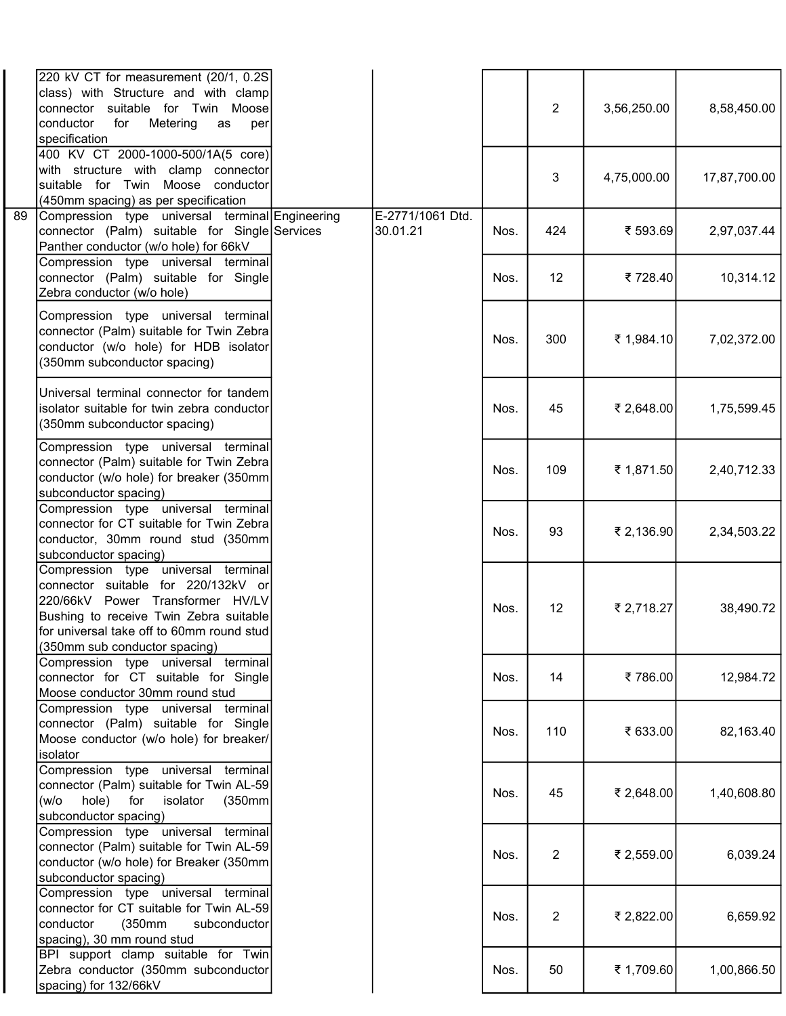| 220 kV CT for measurement (20/1, 0.2S<br>class) with Structure and with clamp<br>connector suitable for Twin Moose<br>conductor<br>for<br>Metering<br>as<br>specification                                                              | per |                              |      | $\overline{2}$ | 3,56,250.00 | 8,58,450.00  |
|----------------------------------------------------------------------------------------------------------------------------------------------------------------------------------------------------------------------------------------|-----|------------------------------|------|----------------|-------------|--------------|
| 400 KV CT 2000-1000-500/1A(5 core)<br>with structure with clamp connector<br>suitable for Twin Moose conductor<br>(450mm spacing) as per specification                                                                                 |     |                              |      | 3              | 4,75,000.00 | 17,87,700.00 |
| Compression type universal terminal Engineering<br>89<br>connector (Palm) suitable for Single Services<br>Panther conductor (w/o hole) for 66kV                                                                                        |     | E-2771/1061 Dtd.<br>30.01.21 | Nos. | 424            | ₹ 593.69    | 2,97,037.44  |
| Compression type universal terminal<br>connector (Palm) suitable for Single<br>Zebra conductor (w/o hole)                                                                                                                              |     |                              | Nos. | 12             | ₹728.40     | 10,314.12    |
| Compression type universal terminal<br>connector (Palm) suitable for Twin Zebra<br>conductor (w/o hole) for HDB isolator<br>(350mm subconductor spacing)                                                                               |     |                              | Nos. | 300            | ₹ 1,984.10  | 7,02,372.00  |
| Universal terminal connector for tandem<br>isolator suitable for twin zebra conductor<br>(350mm subconductor spacing)                                                                                                                  |     |                              | Nos. | 45             | ₹ 2,648.00  | 1,75,599.45  |
| Compression type universal terminal<br>connector (Palm) suitable for Twin Zebra<br>conductor (w/o hole) for breaker (350mm<br>subconductor spacing)                                                                                    |     |                              | Nos. | 109            | ₹ 1,871.50  | 2,40,712.33  |
| Compression type universal terminal<br>connector for CT suitable for Twin Zebra<br>conductor, 30mm round stud (350mm<br>subconductor spacing)                                                                                          |     |                              | Nos. | 93             | ₹ 2,136.90  | 2,34,503.22  |
| Compression type universal terminal<br>connector suitable for 220/132kV or<br>220/66kV Power Transformer HV/LV<br>Bushing to receive Twin Zebra suitable<br>for universal take off to 60mm round stud<br>(350mm sub conductor spacing) |     |                              | Nos. | 12             | ₹ 2,718.27  | 38,490.72    |
| Compression type universal terminal<br>connector for CT suitable for Single<br>Moose conductor 30mm round stud                                                                                                                         |     |                              | Nos. | 14             | ₹786.00     | 12,984.72    |
| Compression type universal terminal<br>connector (Palm) suitable for Single<br>Moose conductor (w/o hole) for breaker/<br>isolator                                                                                                     |     |                              | Nos. | 110            | ₹ 633.00    | 82,163.40    |
| Compression type universal terminal<br>connector (Palm) suitable for Twin AL-59<br>hole)<br>for<br>isolator<br>(350mm<br>(w/o<br>subconductor spacing)                                                                                 |     |                              | Nos. | 45             | ₹ 2,648.00  | 1,40,608.80  |
| Compression type universal terminal<br>connector (Palm) suitable for Twin AL-59<br>conductor (w/o hole) for Breaker (350mm<br>subconductor spacing)                                                                                    |     |                              | Nos. | $\overline{2}$ | ₹ 2,559.00  | 6,039.24     |
| Compression type universal terminal<br>connector for CT suitable for Twin AL-59<br>(350mm<br>conductor<br>subconductor<br>spacing), 30 mm round stud                                                                                   |     |                              | Nos. | $\overline{2}$ | ₹ 2,822.00  | 6,659.92     |
| BPI support clamp suitable for Twin<br>Zebra conductor (350mm subconductor<br>spacing) for 132/66kV                                                                                                                                    |     |                              | Nos. | 50             | ₹ 1,709.60  | 1,00,866.50  |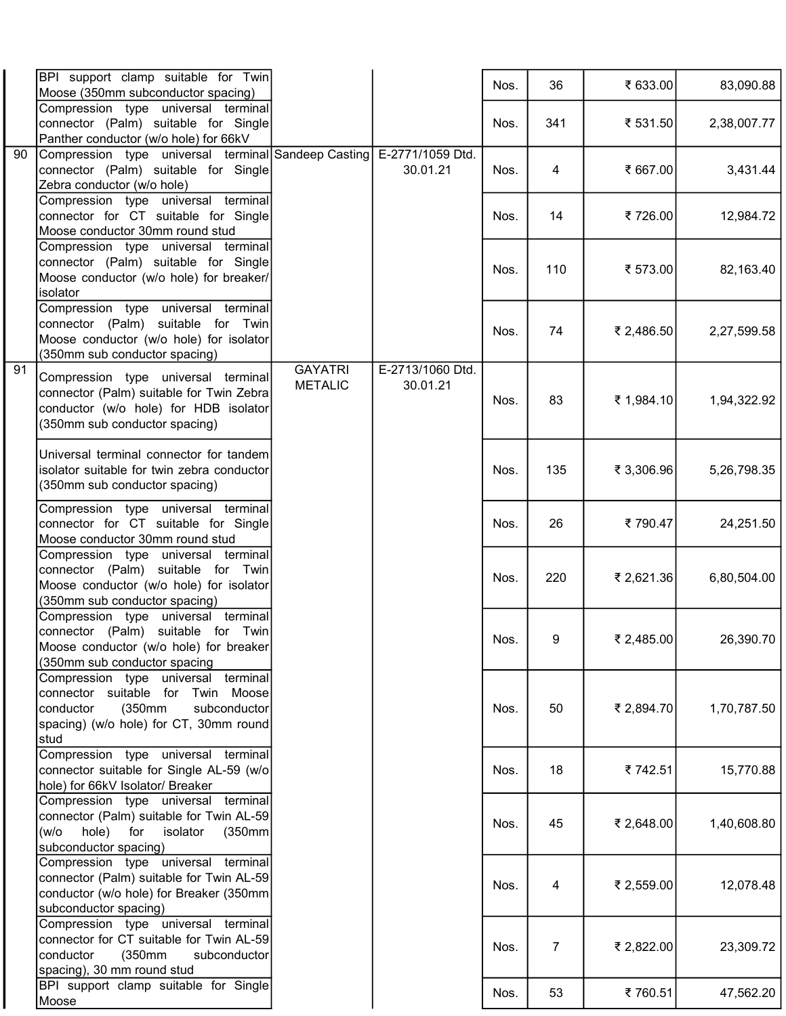|                 | BPI support clamp suitable for Twin<br>Moose (350mm subconductor spacing)                                                                                          |                                  |                              | Nos. | 36  | ₹ 633.00   | 83,090.88   |
|-----------------|--------------------------------------------------------------------------------------------------------------------------------------------------------------------|----------------------------------|------------------------------|------|-----|------------|-------------|
|                 | Compression type universal terminal<br>connector (Palm) suitable for Single<br>Panther conductor (w/o hole) for 66kV                                               |                                  |                              | Nos. | 341 | ₹ 531.50   | 2,38,007.77 |
| 90              | Compression type universal terminal Sandeep Casting<br>connector (Palm) suitable for Single<br>Zebra conductor (w/o hole)                                          |                                  | E-2771/1059 Dtd.<br>30.01.21 | Nos. | 4   | ₹ 667.00   | 3,431.44    |
|                 | Compression type universal terminal<br>connector for CT suitable for Single<br>Moose conductor 30mm round stud                                                     |                                  |                              | Nos. | 14  | ₹726.00    | 12,984.72   |
|                 | Compression type universal terminal<br>connector (Palm) suitable for Single<br>Moose conductor (w/o hole) for breaker/<br>isolator                                 |                                  |                              | Nos. | 110 | ₹ 573.00   | 82,163.40   |
|                 | Compression type universal terminal<br>connector (Palm) suitable for Twin<br>Moose conductor (w/o hole) for isolator<br>(350mm sub conductor spacing)              |                                  |                              | Nos. | 74  | ₹ 2,486.50 | 2,27,599.58 |
| $\overline{91}$ | Compression type universal terminal<br>connector (Palm) suitable for Twin Zebra<br>conductor (w/o hole) for HDB isolator<br>(350mm sub conductor spacing)          | <b>GAYATRI</b><br><b>METALIC</b> | E-2713/1060 Dtd.<br>30.01.21 | Nos. | 83  | ₹ 1,984.10 | 1,94,322.92 |
|                 | Universal terminal connector for tandem<br>isolator suitable for twin zebra conductor<br>(350mm sub conductor spacing)                                             |                                  |                              | Nos. | 135 | ₹ 3,306.96 | 5,26,798.35 |
|                 | Compression type universal terminal<br>connector for CT suitable for Single<br>Moose conductor 30mm round stud                                                     |                                  |                              | Nos. | 26  | ₹790.47    | 24,251.50   |
|                 | Compression type universal terminal<br>connector (Palm) suitable for Twin<br>Moose conductor (w/o hole) for isolator<br>(350mm sub conductor spacing)              |                                  |                              | Nos. | 220 | ₹ 2,621.36 | 6,80,504.00 |
|                 | Compression type universal terminal<br>connector (Palm) suitable for Twin<br>Moose conductor (w/o hole) for breaker<br>(350mm sub conductor spacing                |                                  |                              | Nos. | 9   | ₹ 2,485.00 | 26,390.70   |
|                 | Compression type universal terminal<br>connector suitable for Twin Moose<br>conductor<br>(350mm)<br>subconductor<br>spacing) (w/o hole) for CT, 30mm round<br>stud |                                  |                              | Nos. | 50  | ₹ 2,894.70 | 1,70,787.50 |
|                 | Compression type universal terminal<br>connector suitable for Single AL-59 (w/o)<br>hole) for 66kV Isolator/ Breaker                                               |                                  |                              | Nos. | 18  | ₹742.51    | 15,770.88   |
|                 | Compression type universal terminal<br>connector (Palm) suitable for Twin AL-59<br>hole) for<br>(w/o<br>isolator<br>(350mm)<br>subconductor spacing)               |                                  |                              | Nos. | 45  | ₹ 2,648.00 | 1,40,608.80 |
|                 | Compression type universal terminal<br>connector (Palm) suitable for Twin AL-59<br>conductor (w/o hole) for Breaker (350mm)<br>subconductor spacing)               |                                  |                              | Nos. | 4   | ₹ 2,559.00 | 12,078.48   |
|                 | Compression type universal terminal<br>connector for CT suitable for Twin AL-59<br>conductor<br>(350mm<br>subconductor<br>spacing), 30 mm round stud               |                                  |                              | Nos. | 7   | ₹ 2,822.00 | 23,309.72   |
|                 | BPI support clamp suitable for Single<br>Moose                                                                                                                     |                                  |                              | Nos. | 53  | ₹760.51    | 47,562.20   |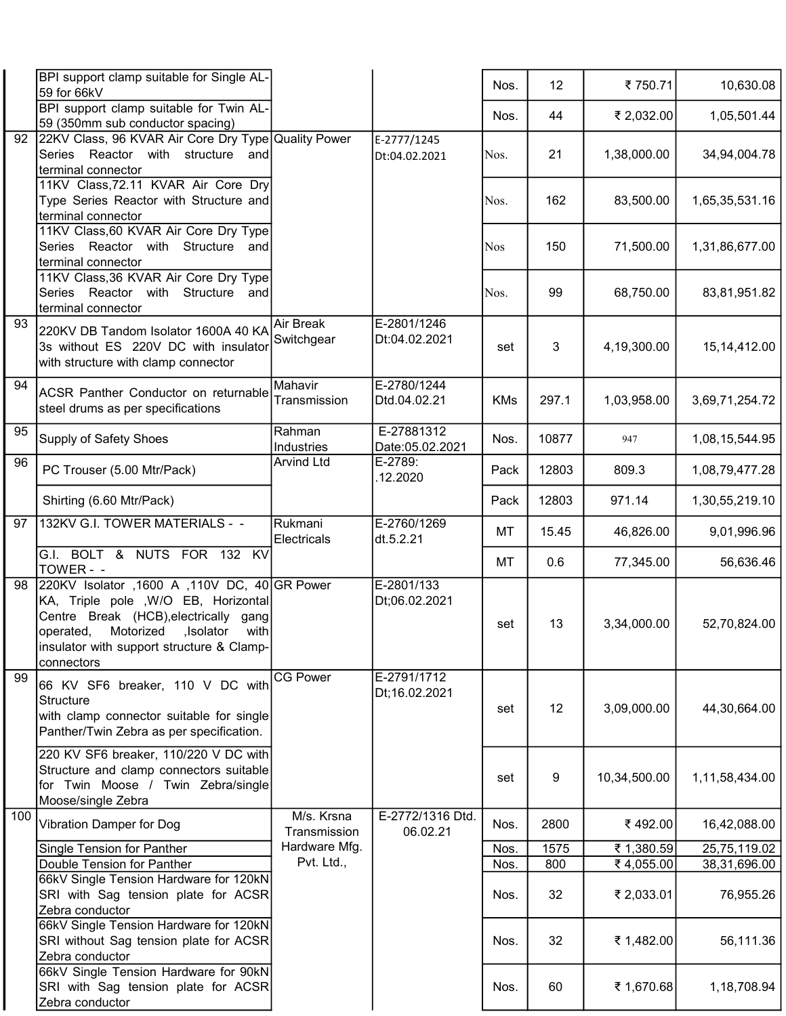|     | BPI support clamp suitable for Single AL-<br>59 for 66kV                                                                                                                                                                                   |                            |                               | Nos.       | 12    | ₹750.71      | 10,630.08      |
|-----|--------------------------------------------------------------------------------------------------------------------------------------------------------------------------------------------------------------------------------------------|----------------------------|-------------------------------|------------|-------|--------------|----------------|
|     | BPI support clamp suitable for Twin AL-<br>59 (350mm sub conductor spacing)                                                                                                                                                                |                            |                               | Nos.       | 44    | ₹ 2,032.00   | 1,05,501.44    |
| 92  | 22KV Class, 96 KVAR Air Core Dry Type Quality Power<br>Series Reactor with<br>structure<br>and<br>terminal connector                                                                                                                       |                            | E-2777/1245<br>Dt:04.02.2021  | Nos.       | 21    | 1,38,000.00  | 34,94,004.78   |
|     | 11KV Class, 72.11 KVAR Air Core Dry<br>Type Series Reactor with Structure and<br>terminal connector                                                                                                                                        |                            |                               | Nos.       | 162   | 83,500.00    | 1,65,35,531.16 |
|     | 11KV Class, 60 KVAR Air Core Dry Type<br>Series Reactor with<br>Structure<br>and<br>terminal connector                                                                                                                                     |                            |                               | <b>Nos</b> | 150   | 71,500.00    | 1,31,86,677.00 |
|     | 11KV Class, 36 KVAR Air Core Dry Type<br>Series Reactor<br>Structure<br>with<br>and<br>terminal connector                                                                                                                                  |                            |                               | Nos.       | 99    | 68,750.00    | 83,81,951.82   |
| 93  | 220KV DB Tandom Isolator 1600A 40 KA<br>3s without ES 220V DC with insulator<br>with structure with clamp connector                                                                                                                        | Air Break<br>Switchgear    | E-2801/1246<br>Dt:04.02.2021  | set        | 3     | 4,19,300.00  | 15, 14, 412.00 |
| 94  | ACSR Panther Conductor on returnable<br>steel drums as per specifications                                                                                                                                                                  | Mahavir<br>Transmission    | E-2780/1244<br>Dtd.04.02.21   | <b>KMs</b> | 297.1 | 1,03,958.00  | 3,69,71,254.72 |
| 95  | Supply of Safety Shoes                                                                                                                                                                                                                     | Rahman<br>Industries       | E-27881312<br>Date:05.02.2021 | Nos.       | 10877 | 947          | 1,08,15,544.95 |
| 96  | PC Trouser (5.00 Mtr/Pack)                                                                                                                                                                                                                 | <b>Arvind Ltd</b>          | E-2789:<br>12.2020            | Pack       | 12803 | 809.3        | 1,08,79,477.28 |
|     | Shirting (6.60 Mtr/Pack)                                                                                                                                                                                                                   |                            |                               | Pack       | 12803 | 971.14       | 1,30,55,219.10 |
| 97  | 132KV G.I. TOWER MATERIALS - -                                                                                                                                                                                                             | Rukmani<br>Electricals     | E-2760/1269<br>dt.5.2.21      | MT         | 15.45 | 46,826.00    | 9,01,996.96    |
|     | G.I. BOLT & NUTS FOR 132 KV<br>TOWER - -                                                                                                                                                                                                   |                            |                               | MT         | 0.6   | 77,345.00    | 56,636.46      |
| 98  | 220KV Isolator ,1600 A ,110V DC, 40 GR Power<br>KA, Triple pole , W/O EB, Horizontal<br>Centre Break (HCB), electrically<br>gang<br>Motorized<br>with<br>operated,<br>,Isolator<br>insulator with support structure & Clamp-<br>connectors |                            | E-2801/133<br>Dt;06.02.2021   | set        | 13    | 3,34,000.00  | 52,70,824.00   |
| 99  | 66 KV SF6 breaker, 110 V DC with<br><b>Structure</b><br>with clamp connector suitable for single<br>Panther/Twin Zebra as per specification.                                                                                               | <b>CG Power</b>            | E-2791/1712<br>Dt;16.02.2021  | set        | 12    | 3,09,000.00  | 44,30,664.00   |
|     | 220 KV SF6 breaker, 110/220 V DC with<br>Structure and clamp connectors suitable<br>for Twin Moose / Twin Zebra/single<br>Moose/single Zebra                                                                                               |                            |                               | set        | 9     | 10,34,500.00 | 1,11,58,434.00 |
| 100 | Vibration Damper for Dog                                                                                                                                                                                                                   | M/s. Krsna<br>Transmission | E-2772/1316 Dtd.<br>06.02.21  | Nos.       | 2800  | ₹492.00      | 16,42,088.00   |
|     | Single Tension for Panther                                                                                                                                                                                                                 | Hardware Mfg.              |                               | Nos.       | 1575  | ₹ 1,380.59   | 25,75,119.02   |
|     | Double Tension for Panther                                                                                                                                                                                                                 | Pvt. Ltd.,                 |                               | Nos.       | 800   | ₹4,055.00    | 38,31,696.00   |
|     | 66kV Single Tension Hardware for 120kN<br>SRI with Sag tension plate for ACSR<br>Zebra conductor                                                                                                                                           |                            |                               | Nos.       | 32    | ₹ 2,033.01   | 76,955.26      |
|     | 66kV Single Tension Hardware for 120kN<br>SRI without Sag tension plate for ACSR<br>Zebra conductor                                                                                                                                        |                            |                               | Nos.       | 32    | ₹ 1,482.00   | 56,111.36      |
|     | 66kV Single Tension Hardware for 90kN<br>SRI with Sag tension plate for ACSR<br>Zebra conductor                                                                                                                                            |                            |                               | Nos.       | 60    | ₹ 1,670.68   | 1,18,708.94    |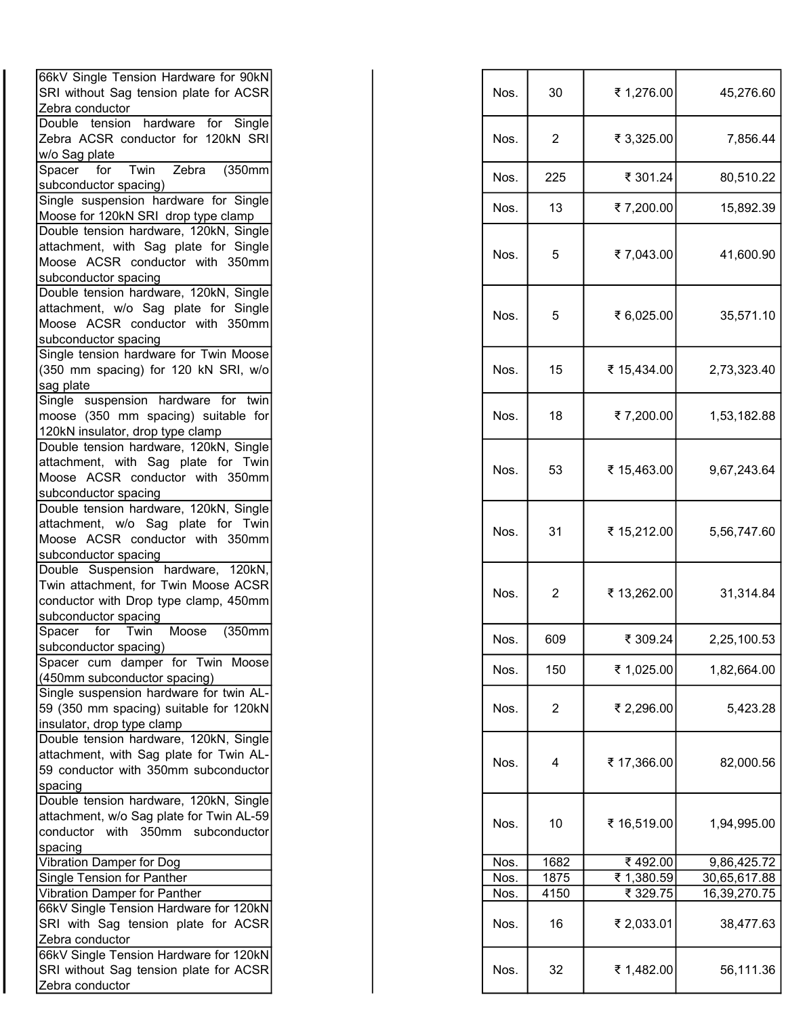| 66kV Single Tension Hardware for 90kN<br>SRI without Sag tension plate for ACSR                                                             |  | Nos. | 30             | ₹ 1,276.00  | 45,276.60    |
|---------------------------------------------------------------------------------------------------------------------------------------------|--|------|----------------|-------------|--------------|
| Zebra conductor<br>Double tension hardware for Single                                                                                       |  |      |                |             |              |
| Zebra ACSR conductor for 120kN SRI<br>w/o Sag plate                                                                                         |  | Nos. | $\overline{2}$ | ₹ 3,325.00  | 7,856.44     |
| Spacer<br>Twin<br>(350mm)<br>for<br>Zebra<br>subconductor spacing)                                                                          |  | Nos. | 225            | ₹ 301.24    | 80,510.22    |
| Single suspension hardware for Single<br>Moose for 120kN SRI drop type clamp                                                                |  | Nos. | 13             | ₹7,200.00   | 15,892.39    |
| Double tension hardware, 120kN, Single<br>attachment, with Sag plate for Single<br>Moose ACSR conductor with 350mm<br>subconductor spacing  |  | Nos. | 5              | ₹7,043.00   | 41,600.90    |
| Double tension hardware, 120kN, Single<br>attachment, w/o Sag plate for Single<br>Moose ACSR conductor with 350mm<br>subconductor spacing   |  | Nos. | 5              | ₹ 6,025.00  | 35,571.10    |
| Single tension hardware for Twin Moose<br>(350 mm spacing) for 120 kN SRI, w/o<br>sag plate                                                 |  | Nos. | 15             | ₹ 15,434.00 | 2,73,323.40  |
| Single suspension hardware for twin<br>moose (350 mm spacing) suitable for<br>120kN insulator, drop type clamp                              |  | Nos. | 18             | ₹7,200.00   | 1,53,182.88  |
| Double tension hardware, 120kN, Single<br>attachment, with Sag plate for Twin<br>Moose ACSR conductor with 350mm<br>subconductor spacing    |  | Nos. | 53             | ₹ 15,463.00 | 9,67,243.64  |
| Double tension hardware, 120kN, Single<br>attachment, w/o Sag plate for Twin<br>Moose ACSR conductor with 350mm<br>subconductor spacing     |  | Nos. | 31             | ₹ 15,212.00 | 5,56,747.60  |
| Double Suspension hardware, 120kN,<br>Twin attachment, for Twin Moose ACSR<br>conductor with Drop type clamp, 450mm<br>subconductor spacing |  | Nos. | $\overline{2}$ | ₹ 13,262.00 | 31,314.84    |
| Spacer for Twin Moose<br>(350mm)<br>subconductor spacing)                                                                                   |  | Nos. | 609            | ₹ 309.24    | 2,25,100.53  |
| Spacer cum damper for Twin Moose<br>(450mm subconductor spacing)                                                                            |  | Nos. | 150            | ₹ 1,025.00  | 1,82,664.00  |
| Single suspension hardware for twin AL-<br>59 (350 mm spacing) suitable for 120kN<br>insulator, drop type clamp                             |  | Nos. | $\overline{2}$ | ₹ 2,296.00  | 5,423.28     |
| Double tension hardware, 120kN, Single<br>attachment, with Sag plate for Twin AL-<br>59 conductor with 350mm subconductor<br>spacing        |  | Nos. | 4              | ₹ 17,366.00 | 82,000.56    |
| Double tension hardware, 120kN, Single<br>attachment, w/o Sag plate for Twin AL-59<br>conductor with 350mm subconductor<br>spacing          |  | Nos. | 10             | ₹ 16,519.00 | 1,94,995.00  |
| Vibration Damper for Dog                                                                                                                    |  | Nos. | 1682           | ₹492.00     | 9,86,425.72  |
| <b>Single Tension for Panther</b>                                                                                                           |  | Nos. | 1875           | ₹ 1,380.59  | 30,65,617.88 |
| Vibration Damper for Panther                                                                                                                |  | Nos. | 4150           | ₹ 329.75    | 16,39,270.75 |
| 66kV Single Tension Hardware for 120kN                                                                                                      |  |      |                |             |              |
| SRI with Sag tension plate for ACSR<br>Zebra conductor                                                                                      |  | Nos. | 16             | ₹ 2,033.01  | 38,477.63    |
| 66kV Single Tension Hardware for 120kN<br>SRI without Sag tension plate for ACSR<br>Zebra conductor.                                        |  | Nos. | 32             | ₹ 1,482.00  | 56,111.36    |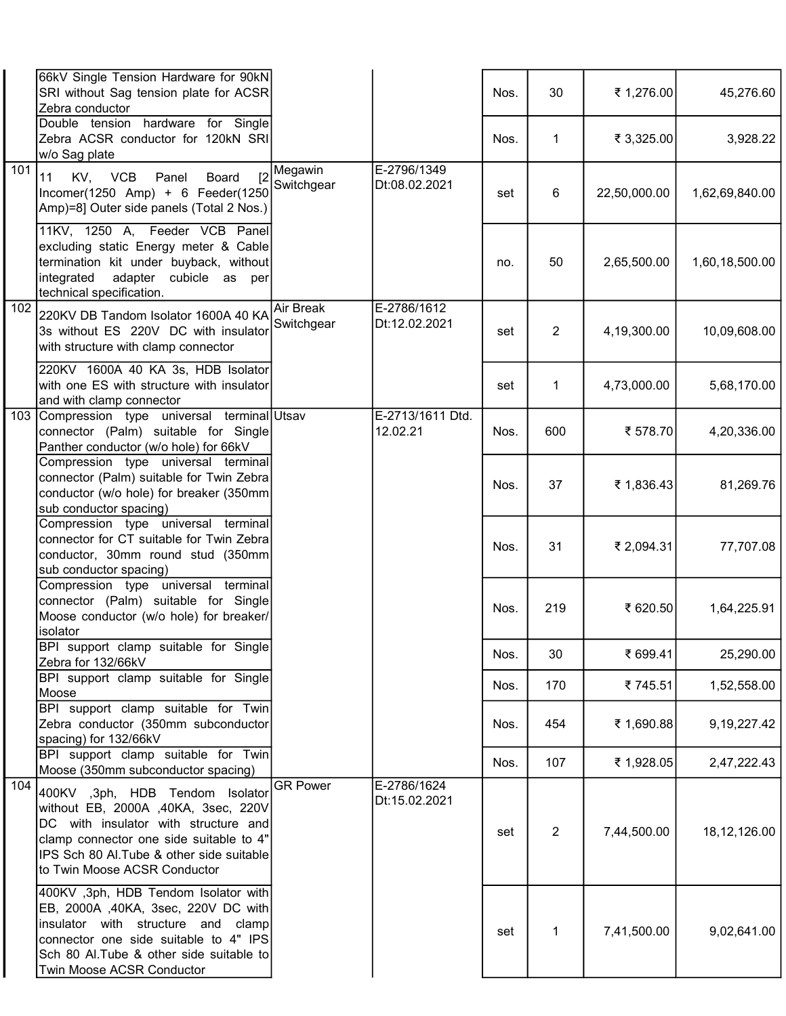|                  | 66kV Single Tension Hardware for 90kN<br>SRI without Sag tension plate for ACSR<br>Zebra conductor                                                                                                                                     |                         |                              | Nos. | 30             | ₹ 1,276.00   | 45,276.60      |
|------------------|----------------------------------------------------------------------------------------------------------------------------------------------------------------------------------------------------------------------------------------|-------------------------|------------------------------|------|----------------|--------------|----------------|
|                  | Double tension hardware for Single<br>Zebra ACSR conductor for 120kN SRI<br>w/o Sag plate                                                                                                                                              |                         |                              | Nos. | $\mathbf 1$    | ₹ 3,325.00   | 3,928.22       |
| 101              | KV, VCB<br>[2]<br>11<br>Panel<br><b>Board</b><br>Incomer(1250 Amp) + 6 Feeder(1250<br>Amp)=8] Outer side panels (Total 2 Nos.)                                                                                                         | Megawin<br>Switchgear   | E-2796/1349<br>Dt:08.02.2021 | set  | 6              | 22,50,000.00 | 1,62,69,840.00 |
|                  | 11KV, 1250 A, Feeder VCB Panel<br>excluding static Energy meter & Cable<br>termination kit under buyback, without<br>adapter cubicle as per<br>integrated<br>technical specification.                                                  |                         |                              | no.  | 50             | 2,65,500.00  | 1,60,18,500.00 |
| $\overline{102}$ | 220KV DB Tandom Isolator 1600A 40 KA<br>3s without ES 220V DC with insulator<br>with structure with clamp connector                                                                                                                    | Air Break<br>Switchgear | E-2786/1612<br>Dt:12.02.2021 | set  | $\overline{2}$ | 4,19,300.00  | 10,09,608.00   |
|                  | 220KV 1600A 40 KA 3s, HDB Isolator<br>with one ES with structure with insulator<br>and with clamp connector                                                                                                                            |                         |                              | set  | $\mathbf{1}$   | 4,73,000.00  | 5,68,170.00    |
| 103              | Compression type universal terminal Utsav<br>connector (Palm) suitable for Single<br>Panther conductor (w/o hole) for 66kV                                                                                                             |                         | E-2713/1611 Dtd.<br>12.02.21 | Nos. | 600            | ₹ 578.70     | 4,20,336.00    |
|                  | Compression type universal terminal<br>connector (Palm) suitable for Twin Zebra<br>conductor (w/o hole) for breaker (350mm<br>sub conductor spacing)                                                                                   |                         |                              | Nos. | 37             | ₹ 1,836.43   | 81,269.76      |
|                  | Compression type universal terminal<br>connector for CT suitable for Twin Zebra<br>conductor, 30mm round stud (350mm<br>sub conductor spacing)                                                                                         |                         |                              | Nos. | 31             | ₹ 2,094.31   | 77,707.08      |
|                  | Compression type universal terminal<br>connector (Palm) suitable for Single<br>Moose conductor (w/o hole) for breaker/<br>isolator                                                                                                     |                         |                              | Nos. | 219            | ₹ 620.50     | 1,64,225.91    |
|                  | BPI support clamp suitable for Single<br>Zebra for 132/66kV                                                                                                                                                                            |                         |                              | Nos. | 30             | ₹ 699.41     | 25,290.00      |
|                  | BPI support clamp suitable for Single<br>Moose                                                                                                                                                                                         |                         |                              | Nos. | 170            | ₹745.51      | 1,52,558.00    |
|                  | BPI support clamp suitable for Twin<br>Zebra conductor (350mm subconductor<br>spacing) for 132/66kV                                                                                                                                    |                         |                              | Nos. | 454            | ₹ 1,690.88   | 9, 19, 227. 42 |
|                  | BPI support clamp suitable for Twin<br>Moose (350mm subconductor spacing)                                                                                                                                                              |                         |                              | Nos. | 107            | ₹ 1,928.05   | 2,47,222.43    |
| 104              | 400KV ,3ph, HDB Tendom Isolator<br>without EB, 2000A ,40KA, 3sec, 220V<br>DC with insulator with structure and<br>clamp connector one side suitable to 4"<br>IPS Sch 80 Al. Tube & other side suitable<br>to Twin Moose ACSR Conductor | <b>GR Power</b>         | E-2786/1624<br>Dt:15.02.2021 | set  | $\overline{2}$ | 7,44,500.00  | 18, 12, 126.00 |
|                  | 400KV ,3ph, HDB Tendom Isolator with<br>EB, 2000A ,40KA, 3sec, 220V DC with<br>insulator with structure and clamp<br>connector one side suitable to 4" IPS<br>Sch 80 Al. Tube & other side suitable to<br>Twin Moose ACSR Conductor    |                         |                              | set  | 1              | 7,41,500.00  | 9,02,641.00    |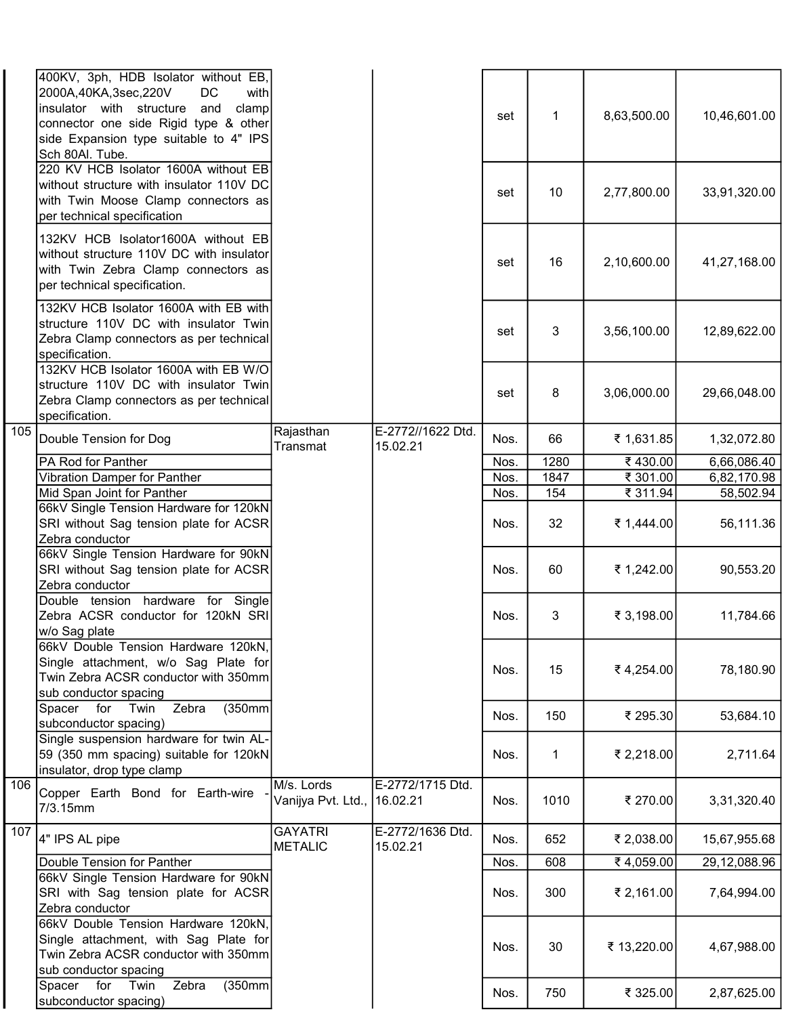|     | 400KV, 3ph, HDB Isolator without EB,<br>with<br>2000A,40KA,3sec,220V<br>DC<br>and<br>insulator with structure<br>clamp<br>connector one side Rigid type & other<br>side Expansion type suitable to 4" IPS<br>Sch 80Al. Tube. |                                           |                               | set  | $\mathbf 1$ | 8,63,500.00 | 10,46,601.00 |
|-----|------------------------------------------------------------------------------------------------------------------------------------------------------------------------------------------------------------------------------|-------------------------------------------|-------------------------------|------|-------------|-------------|--------------|
|     | 220 KV HCB Isolator 1600A without EB<br>without structure with insulator 110V DC<br>with Twin Moose Clamp connectors as<br>per technical specification                                                                       |                                           |                               | set  | 10          | 2,77,800.00 | 33,91,320.00 |
|     | 132KV HCB Isolator1600A without EB<br>without structure 110V DC with insulator<br>with Twin Zebra Clamp connectors as<br>per technical specification.                                                                        |                                           |                               | set  | 16          | 2,10,600.00 | 41,27,168.00 |
|     | 132KV HCB Isolator 1600A with EB with<br>structure 110V DC with insulator Twin<br>Zebra Clamp connectors as per technical<br>specification.                                                                                  |                                           |                               | set  | 3           | 3,56,100.00 | 12,89,622.00 |
|     | 132KV HCB Isolator 1600A with EB W/O<br>structure 110V DC with insulator Twin<br>Zebra Clamp connectors as per technical<br>specification.                                                                                   |                                           |                               | set  | 8           | 3,06,000.00 | 29,66,048.00 |
| 105 | Double Tension for Dog                                                                                                                                                                                                       | Rajasthan<br>Transmat                     | E-2772//1622 Dtd.<br>15.02.21 | Nos. | 66          | ₹ 1,631.85  | 1,32,072.80  |
|     | PA Rod for Panther                                                                                                                                                                                                           |                                           |                               | Nos. | 1280        | ₹430.00     | 6,66,086.40  |
|     | Vibration Damper for Panther                                                                                                                                                                                                 |                                           |                               | Nos. | 1847        | ₹ 301.00    | 6,82,170.98  |
|     | Mid Span Joint for Panther                                                                                                                                                                                                   |                                           |                               | Nos. | 154         | ₹ 311.94    | 58,502.94    |
|     |                                                                                                                                                                                                                              |                                           |                               |      |             |             |              |
|     | 66kV Single Tension Hardware for 120kN<br>SRI without Sag tension plate for ACSR<br>Zebra conductor                                                                                                                          |                                           |                               | Nos. | 32          | ₹ 1,444.00  | 56,111.36    |
|     | 66kV Single Tension Hardware for 90kN<br>SRI without Sag tension plate for ACSR<br>Zebra conductor                                                                                                                           |                                           |                               | Nos. | 60          | ₹ 1,242.00  | 90,553.20    |
|     | Double tension hardware for Single<br>Zebra ACSR conductor for 120kN SRI<br>∣w/o Sag plate                                                                                                                                   |                                           |                               | Nos. | 3           | ₹ 3,198.00  | 11,784.66    |
|     | 66kV Double Tension Hardware 120kN,<br>Single attachment, w/o Sag Plate for<br>Twin Zebra ACSR conductor with 350mm<br>sub conductor spacing                                                                                 |                                           |                               | Nos. | 15          | ₹4,254.00   | 78,180.90    |
|     | Zebra<br>(350mm)<br>Twin<br>Spacer for<br>subconductor spacing)                                                                                                                                                              |                                           |                               | Nos. | 150         | ₹ 295.30    | 53,684.10    |
|     | Single suspension hardware for twin AL-<br>59 (350 mm spacing) suitable for 120kN<br>insulator, drop type clamp                                                                                                              |                                           |                               | Nos. | 1           | ₹ 2,218.00  | 2,711.64     |
| 106 | Copper Earth Bond for Earth-wire<br>7/3.15mm                                                                                                                                                                                 | M/s. Lords<br>Vanijya Pvt. Ltd., 16.02.21 | E-2772/1715 Dtd.              | Nos. | 1010        | ₹ 270.00    | 3,31,320.40  |
| 107 | 4" IPS AL pipe                                                                                                                                                                                                               | <b>GAYATRI</b><br><b>METALIC</b>          | E-2772/1636 Dtd.<br>15.02.21  | Nos. | 652         | ₹ 2,038.00  | 15,67,955.68 |
|     | Double Tension for Panther                                                                                                                                                                                                   |                                           |                               | Nos. | 608         | ₹4,059.00   | 29,12,088.96 |
|     | 66kV Single Tension Hardware for 90kN<br>SRI with Sag tension plate for ACSR<br>Zebra conductor                                                                                                                              |                                           |                               | Nos. | 300         | ₹ 2,161.00  | 7,64,994.00  |
|     | 66kV Double Tension Hardware 120kN,<br>Single attachment, with Sag Plate for<br>Twin Zebra ACSR conductor with 350mm<br>sub conductor spacing                                                                                |                                           |                               | Nos. | 30          | ₹ 13,220.00 | 4,67,988.00  |
|     | Zebra<br>(350mm)<br>Twin<br>Spacer for<br>subconductor spacing)                                                                                                                                                              |                                           |                               | Nos. | 750         | ₹ 325.00    | 2,87,625.00  |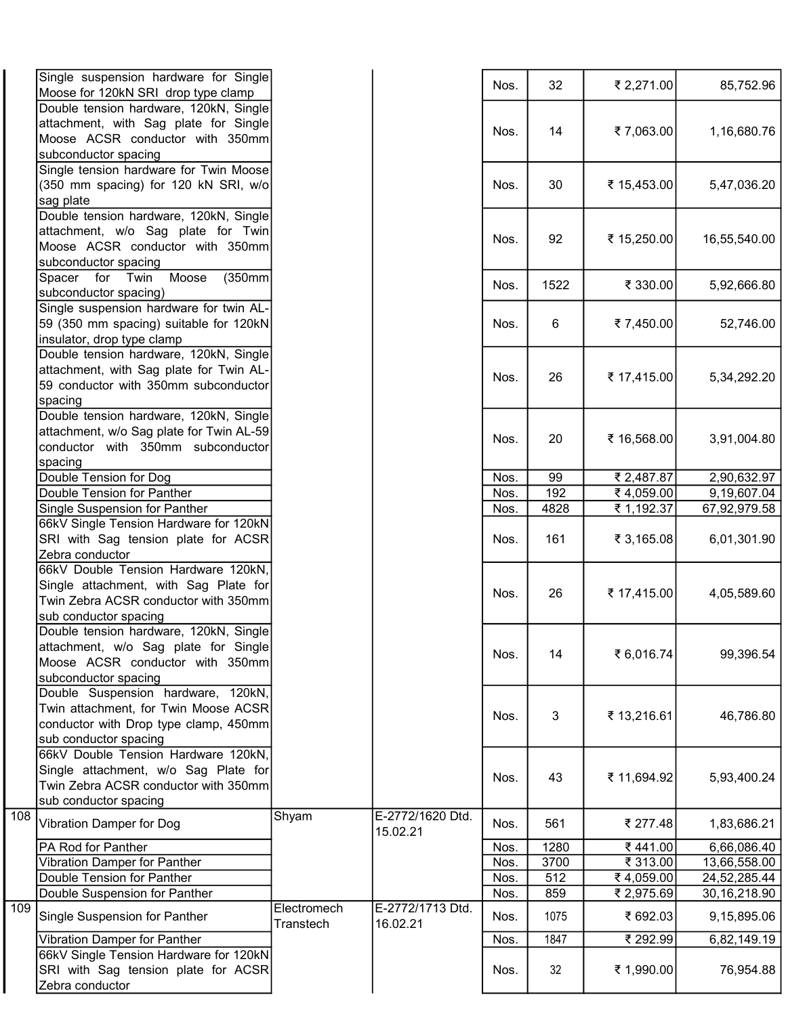| Single suspension hardware for Single    |                          |                              |      |      |             |                |
|------------------------------------------|--------------------------|------------------------------|------|------|-------------|----------------|
| Moose for 120kN SRI drop type clamp      |                          |                              | Nos. | 32   | ₹ 2,271.00  | 85,752.96      |
| Double tension hardware, 120kN, Single   |                          |                              |      |      |             |                |
| attachment, with Sag plate for Single    |                          |                              |      |      |             |                |
| Moose ACSR conductor with 350mm          |                          |                              | Nos. | 14   | ₹7,063.00   | 1,16,680.76    |
| subconductor spacing                     |                          |                              |      |      |             |                |
| Single tension hardware for Twin Moose   |                          |                              |      |      |             |                |
| (350 mm spacing) for 120 kN SRI, w/o     |                          |                              | Nos. | 30   | ₹ 15,453.00 |                |
|                                          |                          |                              |      |      |             | 5,47,036.20    |
| sag plate                                |                          |                              |      |      |             |                |
| Double tension hardware, 120kN, Single   |                          |                              |      |      |             |                |
| attachment, w/o Sag plate for Twin       |                          |                              | Nos. | 92   | ₹ 15,250.00 | 16,55,540.00   |
| Moose ACSR conductor with 350mm          |                          |                              |      |      |             |                |
| subconductor spacing                     |                          |                              |      |      |             |                |
| Moose<br>Spacer for Twin<br>(350mm       |                          |                              | Nos. | 1522 | ₹ 330.00    | 5,92,666.80    |
| subconductor spacing)                    |                          |                              |      |      |             |                |
| Single suspension hardware for twin AL-  |                          |                              |      |      |             |                |
| 59 (350 mm spacing) suitable for 120kN   |                          |                              | Nos. | 6    | ₹7,450.00   | 52,746.00      |
| insulator, drop type clamp               |                          |                              |      |      |             |                |
| Double tension hardware, 120kN, Single   |                          |                              |      |      |             |                |
| attachment, with Sag plate for Twin AL-  |                          |                              |      |      |             |                |
|                                          |                          |                              | Nos. | 26   | ₹ 17,415.00 | 5,34,292.20    |
| 59 conductor with 350mm subconductor     |                          |                              |      |      |             |                |
| spacing                                  |                          |                              |      |      |             |                |
| Double tension hardware, 120kN, Single   |                          |                              |      |      |             |                |
| attachment, w/o Sag plate for Twin AL-59 |                          |                              | Nos. | 20   | ₹ 16,568.00 | 3,91,004.80    |
| conductor with 350mm subconductor        |                          |                              |      |      |             |                |
| spacing                                  |                          |                              |      |      |             |                |
| Double Tension for Dog                   |                          |                              | Nos. | 99   | ₹ 2,487.87  | 2,90,632.97    |
| Double Tension for Panther               |                          |                              | Nos. | 192  | ₹4,059.00   | 9,19,607.04    |
| Single Suspension for Panther            |                          |                              | Nos. | 4828 | ₹ 1,192.37  | 67,92,979.58   |
| 66kV Single Tension Hardware for 120kN   |                          |                              |      |      |             |                |
| SRI with Sag tension plate for ACSR      |                          |                              | Nos. | 161  | ₹ 3,165.08  | 6,01,301.90    |
| Zebra conductor                          |                          |                              |      |      |             |                |
| 66kV Double Tension Hardware 120kN,      |                          |                              |      |      |             |                |
|                                          |                          |                              |      |      |             |                |
| Single attachment, with Sag Plate for    |                          |                              | Nos. | 26   | ₹ 17,415.00 | 4,05,589.60    |
| Twin Zebra ACSR conductor with 350mm     |                          |                              |      |      |             |                |
| sub conductor spacing                    |                          |                              |      |      |             |                |
| Double tension hardware, 120kN, Single   |                          |                              |      |      |             |                |
| attachment, w/o Sag plate for Single     |                          |                              | Nos. | 14   | ₹ 6,016.74  | 99,396.54      |
| Moose ACSR conductor with 350mm          |                          |                              |      |      |             |                |
| subconductor spacing                     |                          |                              |      |      |             |                |
| Double Suspension hardware, 120kN,       |                          |                              |      |      |             |                |
| Twin attachment, for Twin Moose ACSR     |                          |                              |      |      |             |                |
| conductor with Drop type clamp, 450mm    |                          |                              | Nos. | 3    | ₹ 13,216.61 | 46,786.80      |
| sub conductor spacing                    |                          |                              |      |      |             |                |
| 66kV Double Tension Hardware 120kN,      |                          |                              |      |      |             |                |
|                                          |                          |                              |      |      |             |                |
| Single attachment, w/o Sag Plate for     |                          |                              | Nos. | 43   | ₹ 11,694.92 | 5,93,400.24    |
| Twin Zebra ACSR conductor with 350mm     |                          |                              |      |      |             |                |
| sub conductor spacing<br>108             |                          |                              |      |      |             |                |
| Vibration Damper for Dog                 | Shyam                    | E-2772/1620 Dtd.             | Nos. | 561  | ₹ 277.48    | 1,83,686.21    |
|                                          |                          | 15.02.21                     |      |      |             |                |
| PA Rod for Panther                       |                          |                              | Nos. | 1280 | ₹441.00     | 6,66,086.40    |
| Vibration Damper for Panther             |                          |                              | Nos. | 3700 | ₹ 313.00    | 13,66,558.00   |
| Double Tension for Panther               |                          |                              | Nos. | 512  | ₹4,059.00   | 24,52,285.44   |
| Double Suspension for Panther            |                          |                              | Nos. | 859  | ₹ 2,975.69  | 30, 16, 218.90 |
| Single Suspension for Panther            | Electromech<br>Transtech | E-2772/1713 Dtd.<br>16.02.21 | Nos. | 1075 | ₹ 692.03    | 9,15,895.06    |
| Vibration Damper for Panther             |                          |                              | Nos. | 1847 | ₹ 292.99    | 6,82,149.19    |
| 66kV Single Tension Hardware for 120kN   |                          |                              |      |      |             |                |
| SRI with Sag tension plate for ACSR      |                          |                              | Nos. | 32   | ₹ 1,990.00  | 76,954.88      |
| Zebra conductor                          |                          |                              |      |      |             |                |
|                                          |                          |                              |      |      |             |                |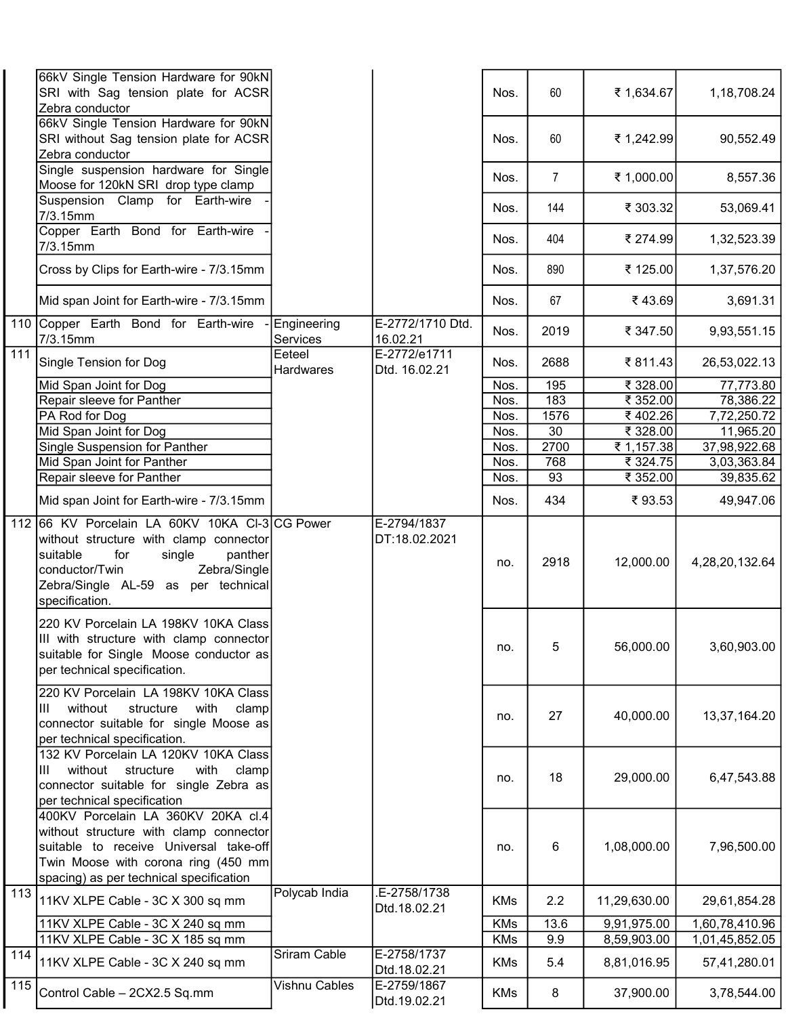|     | 66kV Single Tension Hardware for 90kN                                                                                                                                                                    |                            |                               |            |                |              |                |
|-----|----------------------------------------------------------------------------------------------------------------------------------------------------------------------------------------------------------|----------------------------|-------------------------------|------------|----------------|--------------|----------------|
|     | SRI with Sag tension plate for ACSR<br>Zebra conductor                                                                                                                                                   |                            |                               | Nos.       | 60             | ₹ 1,634.67   | 1,18,708.24    |
|     | 66kV Single Tension Hardware for 90kN                                                                                                                                                                    |                            |                               |            |                |              |                |
|     | SRI without Sag tension plate for ACSR                                                                                                                                                                   |                            |                               | Nos.       | 60             | ₹ 1,242.99   | 90,552.49      |
|     | Zebra conductor                                                                                                                                                                                          |                            |                               |            |                |              |                |
|     | Single suspension hardware for Single                                                                                                                                                                    |                            |                               | Nos.       | $\overline{7}$ | ₹ 1,000.00   | 8,557.36       |
|     | Moose for 120kN SRI drop type clamp                                                                                                                                                                      |                            |                               |            |                |              |                |
|     | Suspension Clamp for Earth-wire<br>7/3.15mm                                                                                                                                                              |                            |                               | Nos.       | 144            | ₹ 303.32     | 53,069.41      |
|     | Copper Earth Bond for Earth-wire<br>7/3.15mm                                                                                                                                                             |                            |                               | Nos.       | 404            | ₹ 274.99     | 1,32,523.39    |
|     | Cross by Clips for Earth-wire - 7/3.15mm                                                                                                                                                                 |                            |                               | Nos.       | 890            | ₹ 125.00     | 1,37,576.20    |
|     | Mid span Joint for Earth-wire - 7/3.15mm                                                                                                                                                                 |                            |                               | Nos.       | 67             | ₹43.69       | 3,691.31       |
| 110 | Copper Earth Bond for Earth-wire<br>7/3.15mm                                                                                                                                                             | Engineering<br>Services    | E-2772/1710 Dtd.<br>16.02.21  | Nos.       | 2019           | ₹ 347.50     | 9,93,551.15    |
| 111 | Single Tension for Dog                                                                                                                                                                                   | Eeteel<br><b>Hardwares</b> | E-2772/e1711<br>Dtd. 16.02.21 | Nos.       | 2688           | ₹811.43      | 26,53,022.13   |
|     | Mid Span Joint for Dog                                                                                                                                                                                   |                            |                               | Nos.       | 195            | ₹ 328.00     | 77,773.80      |
|     | Repair sleeve for Panther                                                                                                                                                                                |                            |                               | Nos.       | 183            | ₹ 352.00     | 78,386.22      |
|     | PA Rod for Dog                                                                                                                                                                                           |                            |                               | Nos.       | 1576           | ₹402.26      | 7,72,250.72    |
|     | Mid Span Joint for Dog                                                                                                                                                                                   |                            |                               | Nos.       | 30             | ₹ 328.00     | 11,965.20      |
|     | Single Suspension for Panther                                                                                                                                                                            |                            |                               | Nos.       | 2700           | ₹ 1,157.38   | 37,98,922.68   |
|     | Mid Span Joint for Panther                                                                                                                                                                               |                            |                               | Nos.       | 768            | ₹ 324.75     | 3,03,363.84    |
|     | Repair sleeve for Panther                                                                                                                                                                                |                            |                               | Nos.       | 93             | ₹ 352.00     | 39,835.62      |
|     | Mid span Joint for Earth-wire - 7/3.15mm                                                                                                                                                                 |                            |                               | Nos.       | 434            | ₹93.53       | 49,947.06      |
| 112 | 66 KV Porcelain LA 60KV 10KA CI-3 CG Power                                                                                                                                                               |                            | E-2794/1837                   |            |                |              |                |
|     | without structure with clamp connector<br>suitable<br>for<br>panther<br>single<br>Zebra/Single<br>conductor/Twin<br>Zebra/Single AL-59 as per technical<br>specification.                                |                            | DT:18.02.2021                 | no.        | 2918           | 12,000.00    | 4,28,20,132.64 |
|     | 220 KV Porcelain LA 198KV 10KA Class<br>III with structure with clamp connector<br>suitable for Single Moose conductor as<br>per technical specification.                                                |                            |                               | no.        | 5              | 56,000.00    | 3,60,903.00    |
|     | 220 KV Porcelain LA 198KV 10KA Class<br>Ш<br>without<br>structure<br>with<br>clamp<br>connector suitable for single Moose as<br>per technical specification.                                             |                            |                               | no.        | 27             | 40,000.00    | 13,37,164.20   |
|     | 132 KV Porcelain LA 120KV 10KA Class<br>without<br>clamp<br>Ш<br>structure<br>with<br>connector suitable for single Zebra as<br>per technical specification                                              |                            |                               | no.        | 18             | 29,000.00    | 6,47,543.88    |
|     | 400KV Porcelain LA 360KV 20KA cl.4<br>without structure with clamp connector<br>suitable to receive Universal take-off<br>Twin Moose with corona ring (450 mm<br>spacing) as per technical specification |                            |                               | no.        | 6              | 1,08,000.00  | 7,96,500.00    |
| 113 | 11KV XLPE Cable - 3C X 300 sq mm                                                                                                                                                                         | Polycab India              | E-2758/1738<br>Dtd.18.02.21   | <b>KMs</b> | 2.2            | 11,29,630.00 | 29,61,854.28   |
|     | 11KV XLPE Cable - 3C X 240 sq mm                                                                                                                                                                         |                            |                               | <b>KMs</b> | 13.6           | 9,91,975.00  | 1,60,78,410.96 |
|     | 11KV XLPE Cable - 3C X 185 sq mm                                                                                                                                                                         |                            |                               | <b>KMs</b> | 9.9            | 8,59,903.00  | 1,01,45,852.05 |
| 114 | 11KV XLPE Cable - 3C X 240 sq mm                                                                                                                                                                         | Sriram Cable               | E-2758/1737<br>Dtd.18.02.21   | <b>KMs</b> | 5.4            | 8,81,016.95  | 57,41,280.01   |
| 115 | Control Cable - 2CX2.5 Sq.mm                                                                                                                                                                             | Vishnu Cables              | E-2759/1867<br>Dtd.19.02.21   | KMs        | 8              | 37,900.00    | 3,78,544.00    |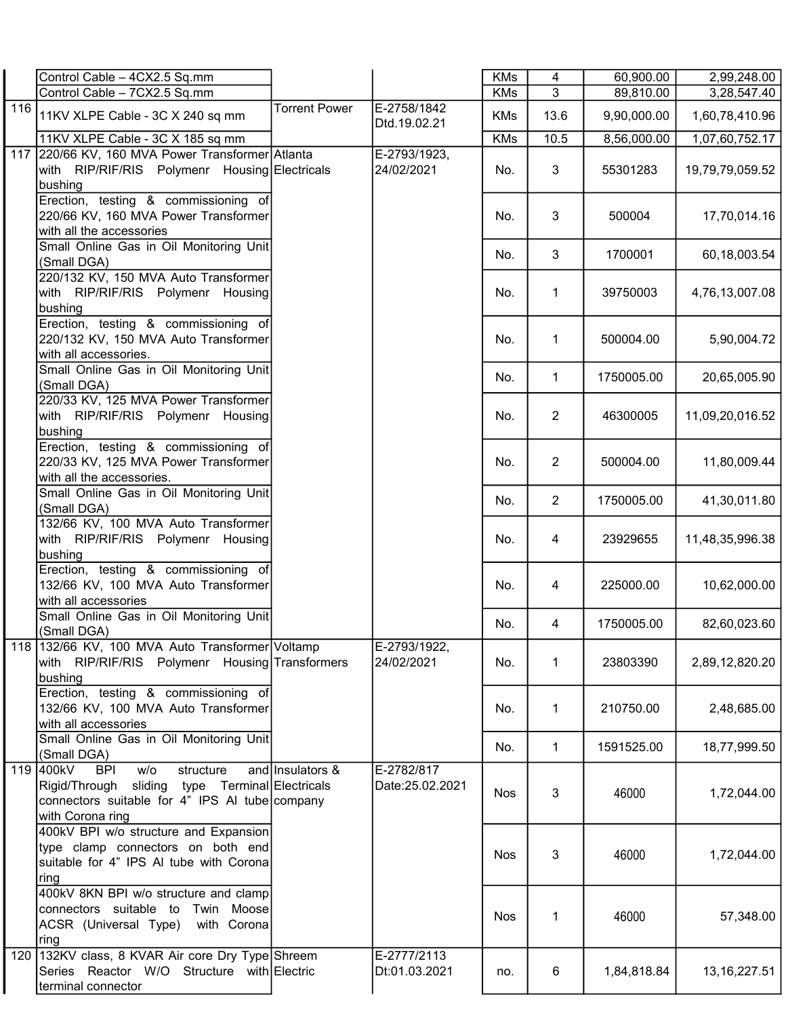|     | Control Cable - 4CX2.5 Sq.mm                                                                                                                                         |                      |                                | <b>KMs</b> | 4              | 60,900.00   | 2,99,248.00     |
|-----|----------------------------------------------------------------------------------------------------------------------------------------------------------------------|----------------------|--------------------------------|------------|----------------|-------------|-----------------|
|     | Control Cable - 7CX2.5 Sq.mm                                                                                                                                         |                      |                                | <b>KMs</b> | 3              | 89,810.00   | 3,28,547.40     |
| 116 | 11KV XLPE Cable - 3C X 240 sq mm                                                                                                                                     | <b>Torrent Power</b> | E-2758/1842<br>Dtd.19.02.21    | <b>KMs</b> | 13.6           | 9,90,000.00 | 1,60,78,410.96  |
|     | 11KV XLPE Cable - 3C X 185 sq mm                                                                                                                                     |                      |                                | <b>KMs</b> | 10.5           | 8,56,000.00 | 1,07,60,752.17  |
|     | 117 220/66 KV, 160 MVA Power Transformer Atlanta<br>with RIP/RIF/RIS Polymenr Housing Electricals<br>bushing                                                         |                      | E-2793/1923,<br>24/02/2021     | No.        | 3              | 55301283    | 19,79,79,059.52 |
|     | Erection, testing & commissioning of<br>220/66 KV, 160 MVA Power Transformer<br>with all the accessories                                                             |                      |                                | No.        | 3              | 500004      | 17,70,014.16    |
|     | Small Online Gas in Oil Monitoring Unit<br>(Small DGA)                                                                                                               |                      |                                | No.        | 3              | 1700001     | 60,18,003.54    |
|     | 220/132 KV, 150 MVA Auto Transformer<br>with RIP/RIF/RIS Polymenr Housing<br>bushing                                                                                 |                      |                                | No.        | 1              | 39750003    | 4,76,13,007.08  |
|     | Erection, testing & commissioning of<br>220/132 KV, 150 MVA Auto Transformer<br>with all accessories.                                                                |                      |                                | No.        | 1              | 500004.00   | 5,90,004.72     |
|     | Small Online Gas in Oil Monitoring Unit<br>(Small DGA)                                                                                                               |                      |                                | No.        | 1              | 1750005.00  | 20,65,005.90    |
|     | 220/33 KV, 125 MVA Power Transformer<br>with RIP/RIF/RIS Polymenr Housing<br>bushing                                                                                 |                      |                                | No.        | $\overline{2}$ | 46300005    | 11,09,20,016.52 |
|     | Erection, testing & commissioning of<br>220/33 KV, 125 MVA Power Transformer<br>with all the accessories.                                                            |                      |                                | No.        | $\overline{2}$ | 500004.00   | 11,80,009.44    |
|     | Small Online Gas in Oil Monitoring Unit<br>(Small DGA)                                                                                                               |                      |                                | No.        | $\overline{2}$ | 1750005.00  | 41,30,011.80    |
|     | 132/66 KV, 100 MVA Auto Transformer<br>with RIP/RIF/RIS Polymenr Housing<br>bushing                                                                                  |                      |                                | No.        | 4              | 23929655    | 11,48,35,996.38 |
|     | Erection, testing & commissioning of<br>132/66 KV, 100 MVA Auto Transformer<br>with all accessories                                                                  |                      |                                | No.        | 4              | 225000.00   | 10,62,000.00    |
|     | Small Online Gas in Oil Monitoring Unit<br>(Small DGA)                                                                                                               |                      |                                | No.        | 4              | 1750005.00  | 82,60,023.60    |
|     | 118 132/66 KV, 100 MVA Auto Transformer Voltamp<br>with RIP/RIF/RIS Polymenr Housing Transformers<br>bushing                                                         |                      | E-2793/1922,<br>24/02/2021     | No.        | 1              | 23803390    | 2,89,12,820.20  |
|     | Erection, testing & commissioning of<br>132/66 KV, 100 MVA Auto Transformer<br>with all accessories                                                                  |                      |                                | No.        | $\mathbf{1}$   | 210750.00   | 2,48,685.00     |
|     | Small Online Gas in Oil Monitoring Unit<br>(Small DGA)                                                                                                               |                      |                                | No.        | 1              | 1591525.00  | 18,77,999.50    |
|     | W/O<br>119 400kV<br><b>BPI</b><br>structure<br>Rigid/Through sliding type Terminal Electricals<br>connectors suitable for 4" IPS AI tube company<br>with Corona ring | and Insulators &     | E-2782/817<br>Date: 25.02.2021 | <b>Nos</b> | 3              | 46000       | 1,72,044.00     |
|     | 400kV BPI w/o structure and Expansion<br>type clamp connectors on both end<br>suitable for 4" IPS AI tube with Corona<br>ring                                        |                      |                                | <b>Nos</b> | 3              | 46000       | 1,72,044.00     |
|     | 400kV 8KN BPI w/o structure and clamp<br>connectors suitable to Twin Moose<br>ACSR (Universal Type)<br>with Corona<br>ring                                           |                      |                                | <b>Nos</b> | 1              | 46000       | 57,348.00       |
|     | 120 132KV class, 8 KVAR Air core Dry Type Shreem<br>Series Reactor W/O Structure with Electric<br>terminal connector                                                 |                      | E-2777/2113<br>Dt:01.03.2021   | no.        | 6              | 1,84,818.84 | 13, 16, 227.51  |
|     |                                                                                                                                                                      |                      |                                |            |                |             |                 |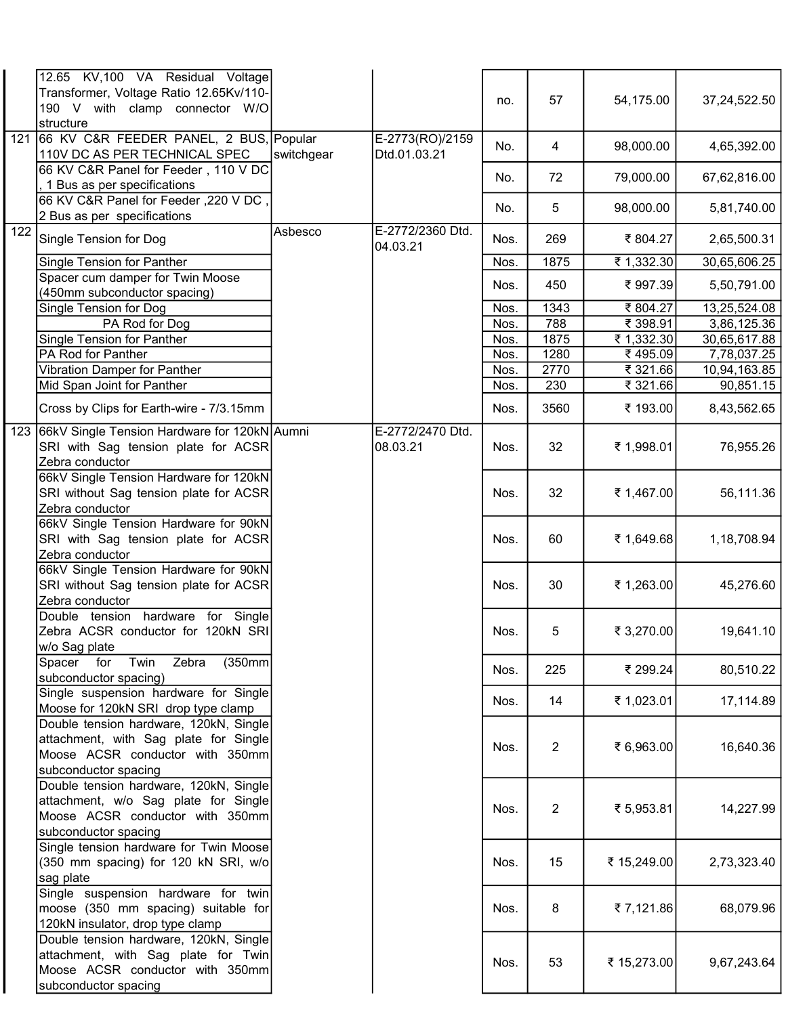|                  | 12.65 KV,100 VA Residual Voltage             |            |                  |      |                |             |              |
|------------------|----------------------------------------------|------------|------------------|------|----------------|-------------|--------------|
|                  | Transformer, Voltage Ratio 12.65Kv/110-      |            |                  | no.  | 57             | 54,175.00   | 37,24,522.50 |
|                  | 190 V with clamp connector W/O               |            |                  |      |                |             |              |
|                  | structure                                    |            |                  |      |                |             |              |
| 121              | 66 KV C&R FEEDER PANEL, 2 BUS, Popular       |            | E-2773(RO)/2159  |      |                |             |              |
|                  | 110V DC AS PER TECHNICAL SPEC                | switchgear | Dtd.01.03.21     | No.  | 4              | 98,000.00   | 4,65,392.00  |
|                  | 66 KV C&R Panel for Feeder, 110 V DC         |            |                  |      |                |             |              |
|                  | , 1 Bus as per specifications                |            |                  | No.  | 72             | 79,000.00   | 67,62,816.00 |
|                  | 66 KV C&R Panel for Feeder, 220 V DC,        |            |                  |      |                |             |              |
|                  | 2 Bus as per specifications                  |            |                  | No.  | 5              | 98,000.00   | 5,81,740.00  |
| $\overline{122}$ |                                              | Asbesco    | E-2772/2360 Dtd. |      |                |             |              |
|                  | Single Tension for Dog                       |            | 04.03.21         | Nos. | 269            | ₹804.27     | 2,65,500.31  |
|                  | Single Tension for Panther                   |            |                  | Nos. | 1875           | ₹ 1,332.30  | 30,65,606.25 |
|                  | Spacer cum damper for Twin Moose             |            |                  |      |                |             |              |
|                  | (450mm subconductor spacing)                 |            |                  | Nos. | 450            | ₹997.39     | 5,50,791.00  |
|                  | Single Tension for Dog                       |            |                  | Nos. | 1343           | ₹804.27     | 13,25,524.08 |
|                  | PA Rod for Dog                               |            |                  | Nos. | 788            | ₹ 398.91    | 3,86,125.36  |
|                  | Single Tension for Panther                   |            |                  | Nos. | 1875           | ₹ 1,332.30  | 30,65,617.88 |
|                  | PA Rod for Panther                           |            |                  | Nos. | 1280           | ₹495.09     |              |
|                  |                                              |            |                  |      |                |             | 7,78,037.25  |
|                  | Vibration Damper for Panther                 |            |                  | Nos. | 2770           | ₹ 321.66    | 10,94,163.85 |
|                  | Mid Span Joint for Panther                   |            |                  | Nos. | 230            | ₹ 321.66    | 90,851.15    |
|                  | Cross by Clips for Earth-wire - 7/3.15mm     |            |                  | Nos. | 3560           | ₹ 193.00    | 8,43,562.65  |
| 123              | 66kV Single Tension Hardware for 120kN Aumni |            | E-2772/2470 Dtd. |      |                |             |              |
|                  | SRI with Sag tension plate for ACSR          |            | 08.03.21         | Nos. | 32             | ₹ 1,998.01  | 76,955.26    |
|                  | Zebra conductor                              |            |                  |      |                |             |              |
|                  | 66kV Single Tension Hardware for 120kN       |            |                  |      |                |             |              |
|                  | SRI without Sag tension plate for ACSR       |            |                  | Nos. | 32             | ₹ 1,467.00  | 56,111.36    |
|                  | Zebra conductor                              |            |                  |      |                |             |              |
|                  | 66kV Single Tension Hardware for 90kN        |            |                  |      |                |             |              |
|                  | SRI with Sag tension plate for ACSR          |            |                  | Nos. | 60             | ₹ 1,649.68  | 1,18,708.94  |
|                  | Zebra conductor                              |            |                  |      |                |             |              |
|                  | 66kV Single Tension Hardware for 90kN        |            |                  |      |                |             |              |
|                  | SRI without Sag tension plate for ACSR       |            |                  | Nos. | 30             | ₹ 1,263.00  | 45,276.60    |
|                  |                                              |            |                  |      |                |             |              |
|                  | Zebra conductor                              |            |                  |      |                |             |              |
|                  | Double tension hardware for Single           |            |                  |      |                |             |              |
|                  | Zebra ACSR conductor for 120kN SRI           |            |                  | Nos. | 5              | ₹ 3,270.00  | 19,641.10    |
|                  | w/o Sag plate                                |            |                  |      |                |             |              |
|                  | (350mm)<br>Spacer for<br>Twin<br>Zebra       |            |                  | Nos. | 225            | ₹ 299.24    | 80,510.22    |
|                  | subconductor spacing)                        |            |                  |      |                |             |              |
|                  | Single suspension hardware for Single        |            |                  | Nos. | 14             | ₹ 1,023.01  | 17,114.89    |
|                  | Moose for 120kN SRI drop type clamp          |            |                  |      |                |             |              |
|                  | Double tension hardware, 120kN, Single       |            |                  |      |                |             |              |
|                  | attachment, with Sag plate for Single        |            |                  | Nos. | $\overline{2}$ | ₹ 6,963.00  | 16,640.36    |
|                  | Moose ACSR conductor with 350mm              |            |                  |      |                |             |              |
|                  | subconductor spacing                         |            |                  |      |                |             |              |
|                  | Double tension hardware, 120kN, Single       |            |                  |      |                |             |              |
|                  | attachment, w/o Sag plate for Single         |            |                  |      |                | ₹ 5,953.81  | 14,227.99    |
|                  | Moose ACSR conductor with 350mm              |            |                  | Nos. | 2              |             |              |
|                  | subconductor spacing                         |            |                  |      |                |             |              |
|                  | Single tension hardware for Twin Moose       |            |                  |      |                |             |              |
|                  | (350 mm spacing) for 120 kN SRI, w/o         |            |                  | Nos. | 15             | ₹ 15,249.00 | 2,73,323.40  |
|                  | sag plate                                    |            |                  |      |                |             |              |
|                  | Single suspension hardware for twin          |            |                  |      |                |             |              |
|                  | moose (350 mm spacing) suitable for          |            |                  | Nos. | 8              | ₹7,121.86   | 68,079.96    |
|                  | 120kN insulator, drop type clamp             |            |                  |      |                |             |              |
|                  | Double tension hardware, 120kN, Single       |            |                  |      |                |             |              |
|                  | attachment, with Sag plate for Twin          |            |                  |      |                |             |              |
|                  | Moose ACSR conductor with 350mm              |            |                  | Nos. | 53             | ₹ 15,273.00 | 9,67,243.64  |
|                  | subconductor spacing                         |            |                  |      |                |             |              |
|                  |                                              |            |                  |      |                |             |              |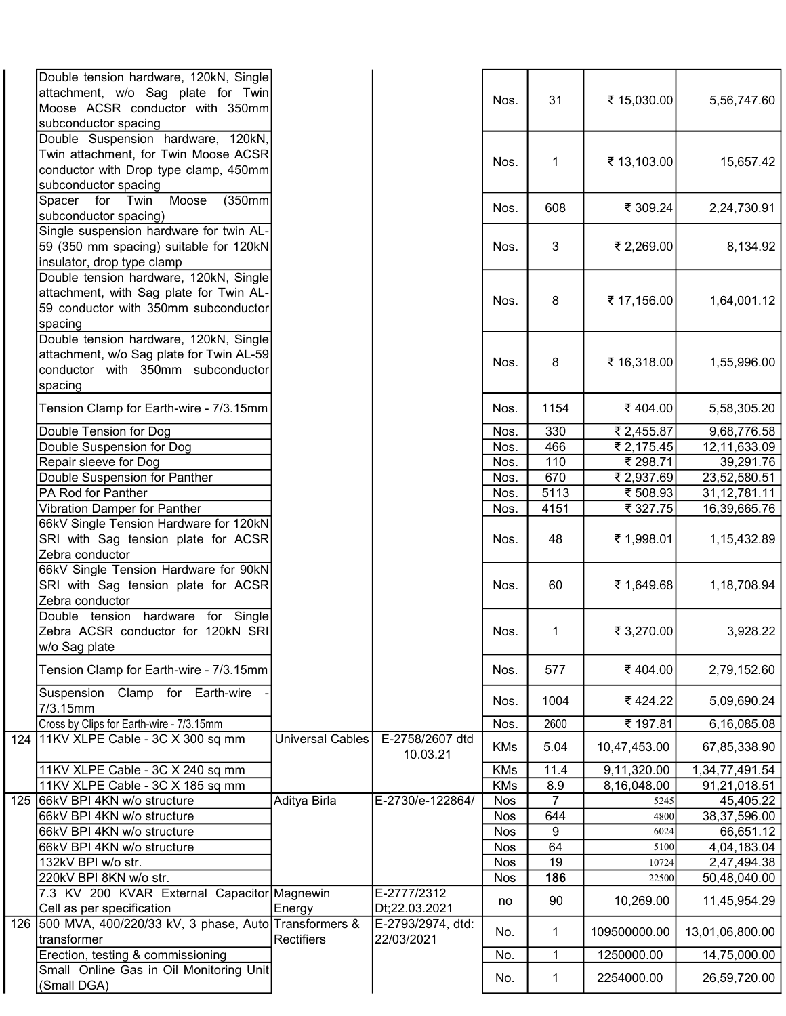|     | Double tension hardware, 120kN, Single<br>attachment, w/o Sag plate for Twin<br>Moose ACSR conductor with 350mm                      |                         |                                 | Nos.       | 31   | ₹ 15,030.00                 | 5,56,747.60     |
|-----|--------------------------------------------------------------------------------------------------------------------------------------|-------------------------|---------------------------------|------------|------|-----------------------------|-----------------|
|     | subconductor spacing<br>Double Suspension hardware, 120kN,<br>Twin attachment, for Twin Moose ACSR                                   |                         |                                 | Nos.       | 1    | ₹ 13,103.00                 | 15,657.42       |
|     | conductor with Drop type clamp, 450mm<br>subconductor spacing                                                                        |                         |                                 |            |      |                             |                 |
|     | Moose<br>Spacer for Twin<br>(350mm)<br>subconductor spacing)                                                                         |                         |                                 | Nos.       | 608  | ₹ 309.24                    | 2,24,730.91     |
|     | Single suspension hardware for twin AL-<br>59 (350 mm spacing) suitable for 120kN<br>insulator, drop type clamp                      |                         |                                 | Nos.       | 3    | ₹ 2,269.00                  | 8,134.92        |
|     | Double tension hardware, 120kN, Single<br>attachment, with Sag plate for Twin AL-<br>59 conductor with 350mm subconductor<br>spacing |                         |                                 | Nos.       | 8    | ₹ 17,156.00                 | 1,64,001.12     |
|     | Double tension hardware, 120kN, Single<br>attachment, w/o Sag plate for Twin AL-59<br>conductor with 350mm subconductor<br>spacing   |                         |                                 | Nos.       | 8    | ₹ 16,318.00                 | 1,55,996.00     |
|     | Tension Clamp for Earth-wire - 7/3.15mm                                                                                              |                         |                                 | Nos.       | 1154 | ₹404.00                     | 5,58,305.20     |
|     | Double Tension for Dog                                                                                                               |                         |                                 | Nos.       | 330  | ₹ 2,455.87                  | 9,68,776.58     |
|     | Double Suspension for Dog                                                                                                            |                         |                                 | Nos.       | 466  | ₹ 2,175.45                  | 12,11,633.09    |
|     | Repair sleeve for Dog                                                                                                                |                         |                                 | Nos.       | 110  | ₹ 298.71                    | 39,291.76       |
|     | Double Suspension for Panther                                                                                                        |                         |                                 | Nos.       | 670  | ₹ 2,937.69                  | 23,52,580.51    |
|     | PA Rod for Panther                                                                                                                   |                         |                                 | Nos.       | 5113 | ₹ 508.93                    | 31, 12, 781.11  |
|     | Vibration Damper for Panther                                                                                                         |                         |                                 | Nos.       | 4151 | ₹ 327.75                    | 16,39,665.76    |
|     | 66kV Single Tension Hardware for 120kN<br>SRI with Sag tension plate for ACSR<br>Zebra conductor                                     |                         |                                 | Nos.       | 48   | ₹ 1,998.01                  | 1, 15, 432.89   |
|     | 66kV Single Tension Hardware for 90kN<br>SRI with Sag tension plate for ACSR<br>Zebra conductor                                      |                         |                                 | Nos.       | 60   | ₹ 1,649.68                  | 1,18,708.94     |
|     | Double tension hardware for Single<br>Zebra ACSR conductor for 120kN SRI<br>w/o Sag plate                                            |                         |                                 | Nos.       | 1    | ₹ 3,270.00                  | 3,928.22        |
|     | Tension Clamp for Earth-wire - 7/3.15mm                                                                                              |                         |                                 | Nos.       | 577  | ₹404.00                     | 2,79,152.60     |
|     | Suspension Clamp for Earth-wire<br>7/3.15mm                                                                                          |                         |                                 | Nos.       | 1004 | ₹424.22                     | 5,09,690.24     |
|     | Cross by Clips for Earth-wire - 7/3.15mm                                                                                             |                         |                                 | Nos.       | 2600 | ₹ 197.81                    | 6,16,085.08     |
|     | 124 11KV XLPE Cable - 3C X 300 sq mm                                                                                                 | <b>Universal Cables</b> | E-2758/2607 dtd<br>10.03.21     | <b>KMs</b> | 5.04 | 10,47,453.00                | 67,85,338.90    |
|     | 11KV XLPE Cable - 3C X 240 sq mm                                                                                                     |                         |                                 | <b>KMs</b> | 11.4 | $\overline{9}$ , 11, 320.00 | 1,34,77,491.54  |
|     | 11KV XLPE Cable - 3C X 185 sq mm                                                                                                     |                         |                                 | <b>KMs</b> | 8.9  | 8,16,048.00                 | 91,21,018.51    |
| 125 | 66kV BPI 4KN w/o structure                                                                                                           | Aditya Birla            | E-2730/e-122864/                | <b>Nos</b> | 7    | 5245                        | 45,405.22       |
|     | 66kV BPI 4KN w/o structure                                                                                                           |                         |                                 | <b>Nos</b> | 644  | 4800                        | 38,37,596.00    |
|     | 66kV BPI 4KN w/o structure                                                                                                           |                         |                                 | <b>Nos</b> | 9    | 6024                        | 66,651.12       |
|     | 66kV BPI 4KN w/o structure                                                                                                           |                         |                                 | <b>Nos</b> | 64   | 5100                        | 4,04,183.04     |
|     | 132kV BPI w/o str.                                                                                                                   |                         |                                 | <b>Nos</b> | 19   | 10724                       | 2,47,494.38     |
|     | 220kV BPI 8KN w/o str.                                                                                                               |                         |                                 | <b>Nos</b> | 186  | 22500                       | 50,48,040.00    |
|     | 7.3 KV 200 KVAR External Capacitor Magnewin<br>Cell as per specification                                                             | Energy                  | E-2777/2312<br>Dt;22.03.2021    | no         | 90   | 10,269.00                   | 11,45,954.29    |
|     | 126 500 MVA, 400/220/33 kV, 3 phase, Auto Transformers &<br>transformer                                                              | Rectifiers              | E-2793/2974, dtd:<br>22/03/2021 | No.        | 1    | 109500000.00                | 13,01,06,800.00 |
|     | Erection, testing & commissioning                                                                                                    |                         |                                 | No.        | 1    | 1250000.00                  | 14,75,000.00    |
|     | Small Online Gas in Oil Monitoring Unit<br>(Small DGA)                                                                               |                         |                                 | No.        | 1    | 2254000.00                  | 26,59,720.00    |